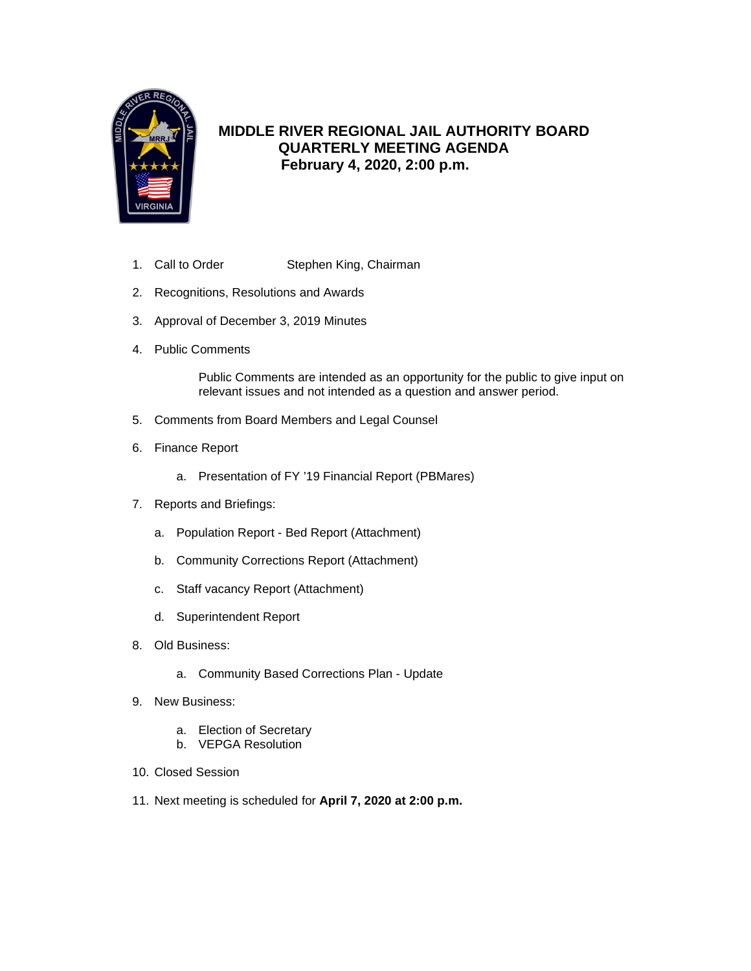

### **MIDDLE RIVER REGIONAL JAIL AUTHORITY BOARD QUARTERLY MEETING AGENDA February 4, 2020, 2:00 p.m.**

- 1. Call to Order Stephen King, Chairman
- 2. Recognitions, Resolutions and Awards
- 3. Approval of December 3, 2019 Minutes
- 4. Public Comments

Public Comments are intended as an opportunity for the public to give input on relevant issues and not intended as a question and answer period.

- 5. Comments from Board Members and Legal Counsel
- 6. Finance Report
	- a. Presentation of FY '19 Financial Report (PBMares)
- 7. Reports and Briefings:
	- a. Population Report Bed Report (Attachment)
	- b. Community Corrections Report (Attachment)
	- c. Staff vacancy Report (Attachment)
	- d. Superintendent Report
- 8. Old Business:
	- a. Community Based Corrections Plan Update
- 9. New Business:
	- a. Election of Secretary
	- b. VEPGA Resolution
- 10. Closed Session
- 11. Next meeting is scheduled for **April 7, 2020 at 2:00 p.m.**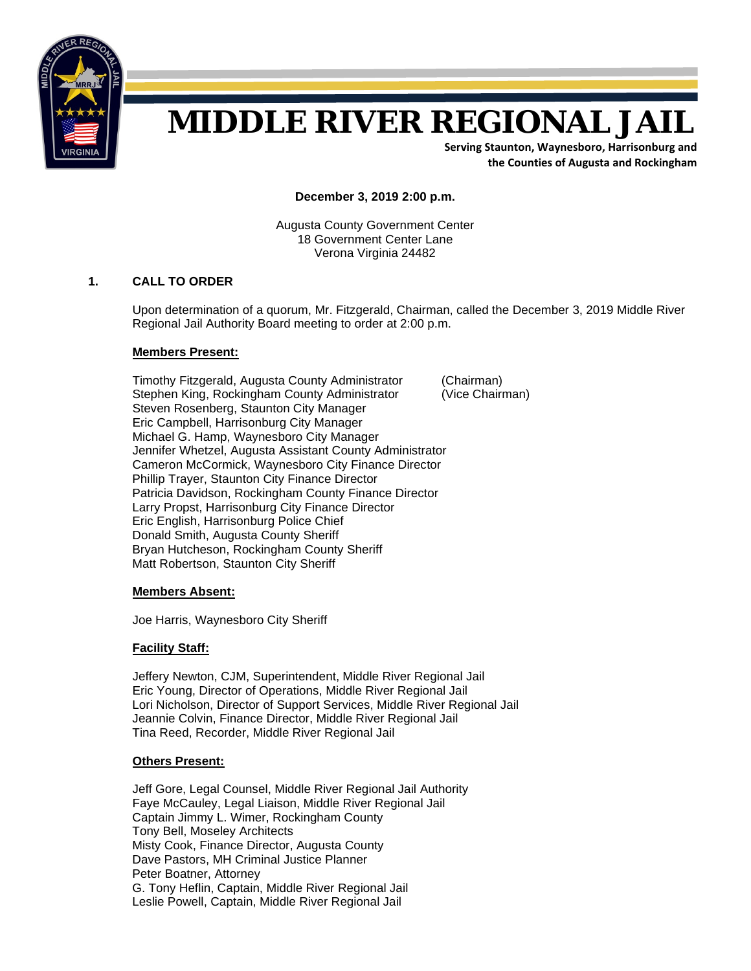

# **MIDDLE RIVER REGIONAL JAIL**

**Serving Staunton, Waynesboro, Harrisonburg and the Counties of Augusta and Rockingham**

**December 3, 2019 2:00 p.m.**

Augusta County Government Center 18 Government Center Lane Verona Virginia 24482

#### **1. CALL TO ORDER**

Upon determination of a quorum, Mr. Fitzgerald, Chairman, called the December 3, 2019 Middle River Regional Jail Authority Board meeting to order at 2:00 p.m.

#### **Members Present:**

 Timothy Fitzgerald, Augusta County Administrator (Chairman) Stephen King, Rockingham County Administrator (Vice Chairman) Steven Rosenberg, Staunton City Manager Eric Campbell, Harrisonburg City Manager Michael G. Hamp, Waynesboro City Manager Jennifer Whetzel, Augusta Assistant County Administrator Cameron McCormick, Waynesboro City Finance Director Phillip Trayer, Staunton City Finance Director Patricia Davidson, Rockingham County Finance Director Larry Propst, Harrisonburg City Finance Director Eric English, Harrisonburg Police Chief Donald Smith, Augusta County Sheriff Bryan Hutcheson, Rockingham County Sheriff Matt Robertson, Staunton City Sheriff

**Members Absent:**

Joe Harris, Waynesboro City Sheriff

#### **Facility Staff:**

 Jeffery Newton, CJM, Superintendent, Middle River Regional Jail Eric Young, Director of Operations, Middle River Regional Jail Lori Nicholson, Director of Support Services, Middle River Regional Jail Jeannie Colvin, Finance Director, Middle River Regional Jail Tina Reed, Recorder, Middle River Regional Jail

#### **Others Present:**

 Jeff Gore, Legal Counsel, Middle River Regional Jail Authority Faye McCauley, Legal Liaison, Middle River Regional Jail Captain Jimmy L. Wimer, Rockingham County Tony Bell, Moseley Architects Misty Cook, Finance Director, Augusta County Dave Pastors, MH Criminal Justice Planner Peter Boatner, Attorney G. Tony Heflin, Captain, Middle River Regional Jail Leslie Powell, Captain, Middle River Regional Jail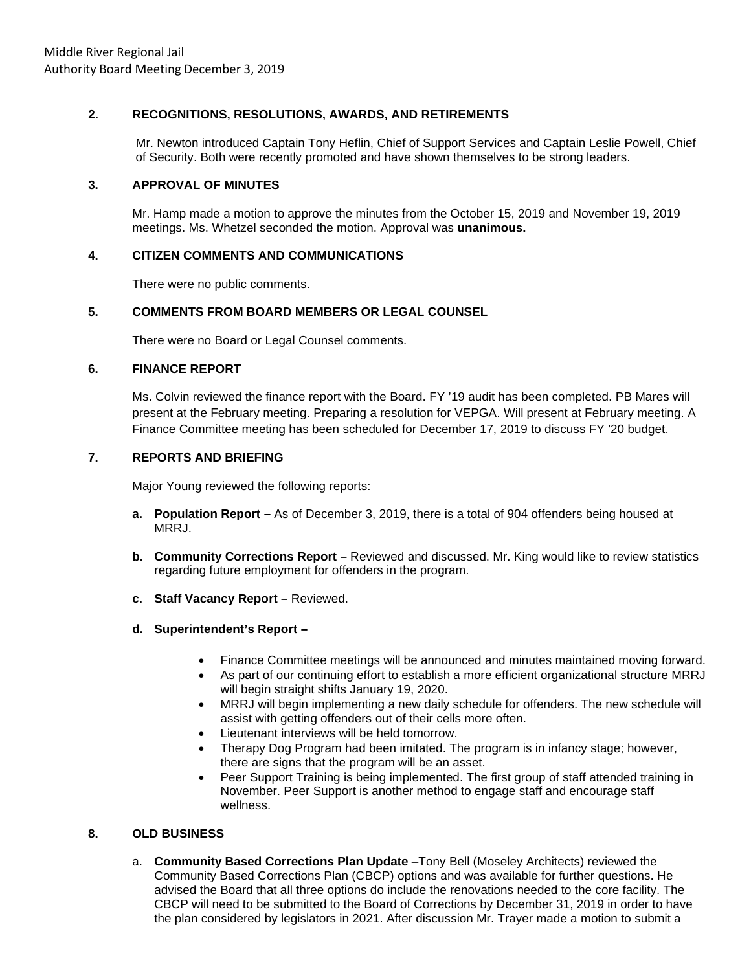### **2. RECOGNITIONS, RESOLUTIONS, AWARDS, AND RETIREMENTS**

Mr. Newton introduced Captain Tony Heflin, Chief of Support Services and Captain Leslie Powell, Chief of Security. Both were recently promoted and have shown themselves to be strong leaders.

### **3. APPROVAL OF MINUTES**

Mr. Hamp made a motion to approve the minutes from the October 15, 2019 and November 19, 2019 meetings. Ms. Whetzel seconded the motion. Approval was **unanimous.**

### **4. CITIZEN COMMENTS AND COMMUNICATIONS**

There were no public comments.

### **5. COMMENTS FROM BOARD MEMBERS OR LEGAL COUNSEL**

There were no Board or Legal Counsel comments.

### **6. FINANCE REPORT**

Ms. Colvin reviewed the finance report with the Board. FY '19 audit has been completed. PB Mares will present at the February meeting. Preparing a resolution for VEPGA. Will present at February meeting. A Finance Committee meeting has been scheduled for December 17, 2019 to discuss FY '20 budget.

### **7. REPORTS AND BRIEFING**

Major Young reviewed the following reports:

- **a. Population Report** As of December 3, 2019, there is a total of 904 offenders being housed at MRRJ.
- **b. Community Corrections Report –** Reviewed and discussed. Mr. King would like to review statistics regarding future employment for offenders in the program.
- **c. Staff Vacancy Report** Reviewed.
- **d. Superintendent's Report** 
	- Finance Committee meetings will be announced and minutes maintained moving forward.
	- As part of our continuing effort to establish a more efficient organizational structure MRRJ will begin straight shifts January 19, 2020.
	- MRRJ will begin implementing a new daily schedule for offenders. The new schedule will assist with getting offenders out of their cells more often.
	- Lieutenant interviews will be held tomorrow.
	- Therapy Dog Program had been imitated. The program is in infancy stage; however, there are signs that the program will be an asset.
	- Peer Support Training is being implemented. The first group of staff attended training in November. Peer Support is another method to engage staff and encourage staff wellness.

### **8. OLD BUSINESS**

a. **Community Based Corrections Plan Update** –Tony Bell (Moseley Architects) reviewed the Community Based Corrections Plan (CBCP) options and was available for further questions. He advised the Board that all three options do include the renovations needed to the core facility. The CBCP will need to be submitted to the Board of Corrections by December 31, 2019 in order to have the plan considered by legislators in 2021. After discussion Mr. Trayer made a motion to submit a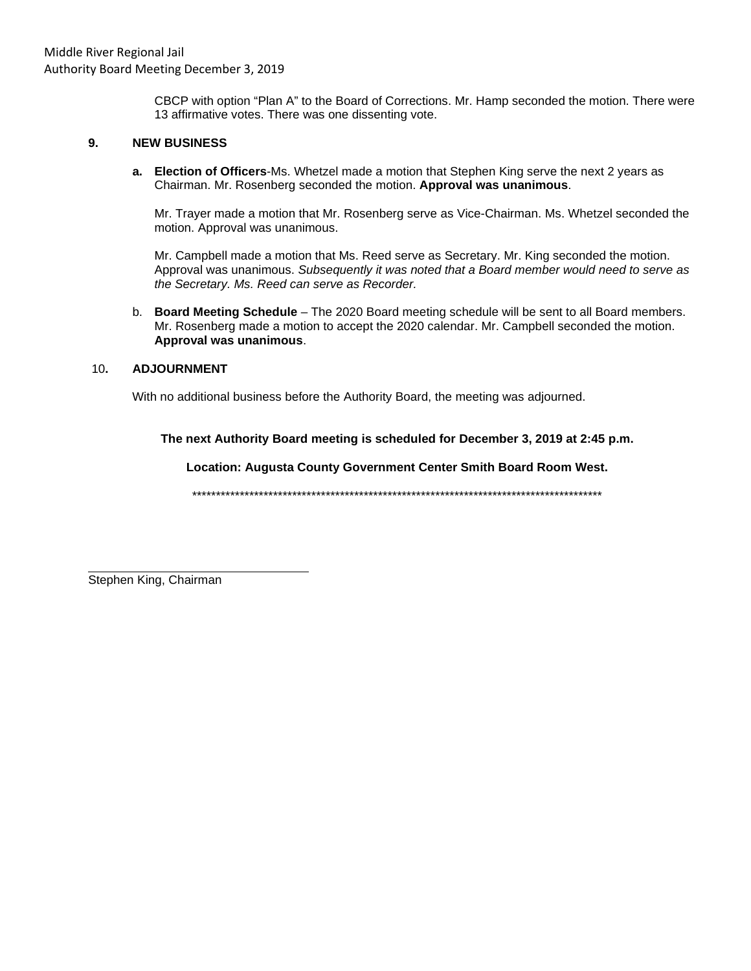CBCP with option "Plan A" to the Board of Corrections. Mr. Hamp seconded the motion. There were 13 affirmative votes. There was one dissenting vote.

#### 9. **NEW BUSINESS**

a. Election of Officers-Ms. Whetzel made a motion that Stephen King serve the next 2 years as Chairman. Mr. Rosenberg seconded the motion. Approval was unanimous.

Mr. Trayer made a motion that Mr. Rosenberg serve as Vice-Chairman. Ms. Whetzel seconded the motion. Approval was unanimous.

Mr. Campbell made a motion that Ms. Reed serve as Secretary. Mr. King seconded the motion. Approval was unanimous. Subsequently it was noted that a Board member would need to serve as the Secretary. Ms. Reed can serve as Recorder.

b. Board Meeting Schedule - The 2020 Board meeting schedule will be sent to all Board members. Mr. Rosenberg made a motion to accept the 2020 calendar. Mr. Campbell seconded the motion. Approval was unanimous.

#### **ADJOURNMENT** 10.

With no additional business before the Authority Board, the meeting was adjourned.

The next Authority Board meeting is scheduled for December 3, 2019 at 2:45 p.m.

Location: Augusta County Government Center Smith Board Room West.

Stephen King, Chairman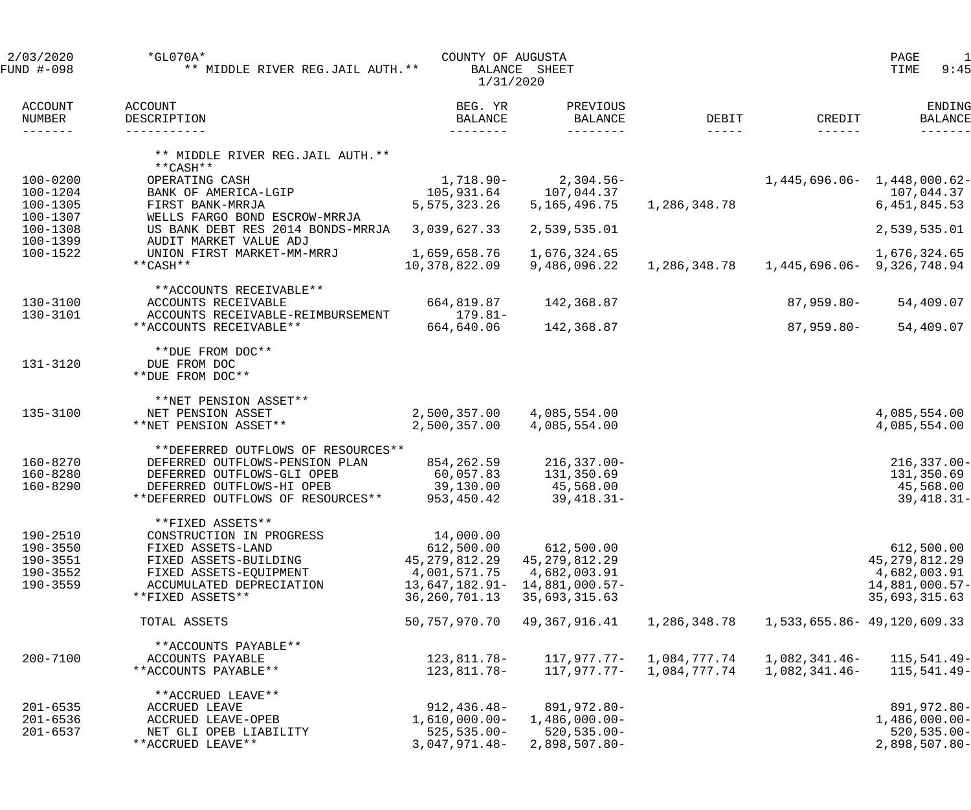| 2/03/2020<br>FUND #-098                                  | $*GLO70A*$<br>** MIDDLE RIVER REG.JAIL AUTH. **                                                                                                                       | COUNTY OF AUGUSTA<br>1/31/2020                                                                     | BALANCE SHEET                                                                     |                              |                                            | $\mathbf{1}$<br>PAGE<br>9:45<br>TIME                                             |
|----------------------------------------------------------|-----------------------------------------------------------------------------------------------------------------------------------------------------------------------|----------------------------------------------------------------------------------------------------|-----------------------------------------------------------------------------------|------------------------------|--------------------------------------------|----------------------------------------------------------------------------------|
| <b>ACCOUNT</b><br>NUMBER<br>-------                      | ACCOUNT<br>DESCRIPTION<br>-----------                                                                                                                                 | BEG. YR<br>BALANCE<br>--------                                                                     | PREVIOUS<br>BALANCE<br>--------                                                   | DEBIT<br>$- - - - -$         | CREDIT<br>$- - - - - - -$                  | ENDING<br><b>BALANCE</b>                                                         |
|                                                          | ** MIDDLE RIVER REG.JAIL AUTH. **<br>**CASH**                                                                                                                         |                                                                                                    |                                                                                   |                              |                                            |                                                                                  |
| $100 - 0200$<br>100-1204<br>100-1305                     | OPERATING CASH<br>BANK OF AMERICA-LGIP<br>FIRST BANK-MRRJA                                                                                                            | 1,718.90-<br>105,931.64<br>5,575,323.26                                                            | $2,304.56-$<br>107,044.37<br>5,165,496.75                                         | 1,286,348.78                 | $1,445,696.06 - 1,448,000.62 -$            | 107,044.37<br>6,451,845.53                                                       |
| 100-1307<br>100-1308                                     | WELLS FARGO BOND ESCROW-MRRJA<br>US BANK DEBT RES 2014 BONDS-MRRJA                                                                                                    | 3,039,627.33                                                                                       | 2,539,535.01                                                                      |                              |                                            | 2,539,535.01                                                                     |
| 100-1399<br>$100 - 1522$                                 | AUDIT MARKET VALUE ADJ<br>UNION FIRST MARKET-MM-MRRJ<br>**CASH**                                                                                                      | 1,659,658.76<br>10,378,822.09                                                                      | 1,676,324.65<br>9,486,096.22                                                      |                              | 1,286,348.78   1,445,696.06   9,326,748.94 | 1,676,324.65                                                                     |
| 130-3100                                                 | **ACCOUNTS RECEIVABLE**<br>ACCOUNTS RECEIVABLE                                                                                                                        | 664,819.87                                                                                         | 142,368.87                                                                        |                              | $87,959.80 -$                              | 54,409.07                                                                        |
| 130-3101                                                 | ACCOUNTS RECEIVABLE-REIMBURSEMENT<br>**ACCOUNTS RECEIVABLE**                                                                                                          | $179.81-$<br>664,640.06                                                                            | 142,368.87                                                                        |                              | $87,959.80 -$                              | 54,409.07                                                                        |
| 131-3120                                                 | **DUE FROM DOC**<br>DUE FROM DOC<br>**DUE FROM DOC**                                                                                                                  |                                                                                                    |                                                                                   |                              |                                            |                                                                                  |
| 135-3100                                                 | **NET PENSION ASSET**<br>NET PENSION ASSET<br>**NET PENSION ASSET**                                                                                                   | 2,500,357.00<br>2,500,357.00                                                                       | 4,085,554.00<br>4,085,554.00                                                      |                              |                                            | 4,085,554.00<br>4,085,554.00                                                     |
| 160-8270<br>160-8280<br>$160 - 8290$                     | **DEFERRED OUTFLOWS OF RESOURCES**<br>DEFERRED OUTFLOWS-PENSION PLAN<br>DEFERRED OUTFLOWS-GLI OPEB<br>DEFERRED OUTFLOWS-HI OPEB<br>**DEFERRED OUTFLOWS OF RESOURCES** | 854, 262.59<br>60,057.83<br>39,130.00<br>953,450.42                                                | $216,337.00 -$<br>131,350.69<br>45,568.00<br>$39,418.31 -$                        |                              |                                            | $216, 337.00 -$<br>131,350.69<br>45,568.00<br>$39,418.31 -$                      |
| 190-2510<br>190-3550<br>190-3551<br>190-3552<br>190-3559 | **FIXED ASSETS**<br>CONSTRUCTION IN PROGRESS<br>FIXED ASSETS-LAND<br>FIXED ASSETS-BUILDING<br>FIXED ASSETS-EQUIPMENT<br>ACCUMULATED DEPRECIATION<br>**FIXED ASSETS**  | 14,000.00<br>612,500.00<br>45, 279, 812.29<br>4,001,571.75<br>$13,647,182.91-$<br>36, 260, 701. 13 | 612,500.00<br>45, 279, 812. 29<br>4,682,003.91<br>14,881,000.57-<br>35,693,315.63 |                              |                                            | 612,500.00<br>45, 279, 812.29<br>4,682,003.91<br>14,881,000.57-<br>35,693,315.63 |
|                                                          | TOTAL ASSETS                                                                                                                                                          | 50,757,970.70                                                                                      | 49,367,916.41                                                                     | 1,286,348.78                 | 1,533,655.86 - 49,120,609.33               |                                                                                  |
| $200 - 7100$                                             | **ACCOUNTS PAYABLE**<br>ACCOUNTS PAYABLE<br>**ACCOUNTS PAYABLE**                                                                                                      | 123,811.78-<br>123,811.78-                                                                         | 117,977.77-<br>117,977.77-                                                        | 1,084,777.74<br>1,084,777.74 | 1,082,341.46-<br>$1,082,341.46-$           | 115,541.49-<br>115,541.49-                                                       |
| $201 - 6535$<br>$201 - 6536$<br>$201 - 6537$             | **ACCRUED LEAVE**<br><b>ACCRUED LEAVE</b><br><b>ACCRUED LEAVE-OPEB</b><br>NET GLI OPEB LIABILITY<br>**ACCRUED LEAVE**                                                 | $912, 436.48 -$<br>$1,610,000.00-$<br>$525, 535.00 -$<br>$3,047,971.48-$                           | 891,972.80-<br>$1,486,000.00-$<br>$520, 535.00 -$<br>2,898,507.80-                |                              |                                            | 891,972.80-<br>$1,486,000.00-$<br>$520, 535.00 -$<br>$2,898,507.80-$             |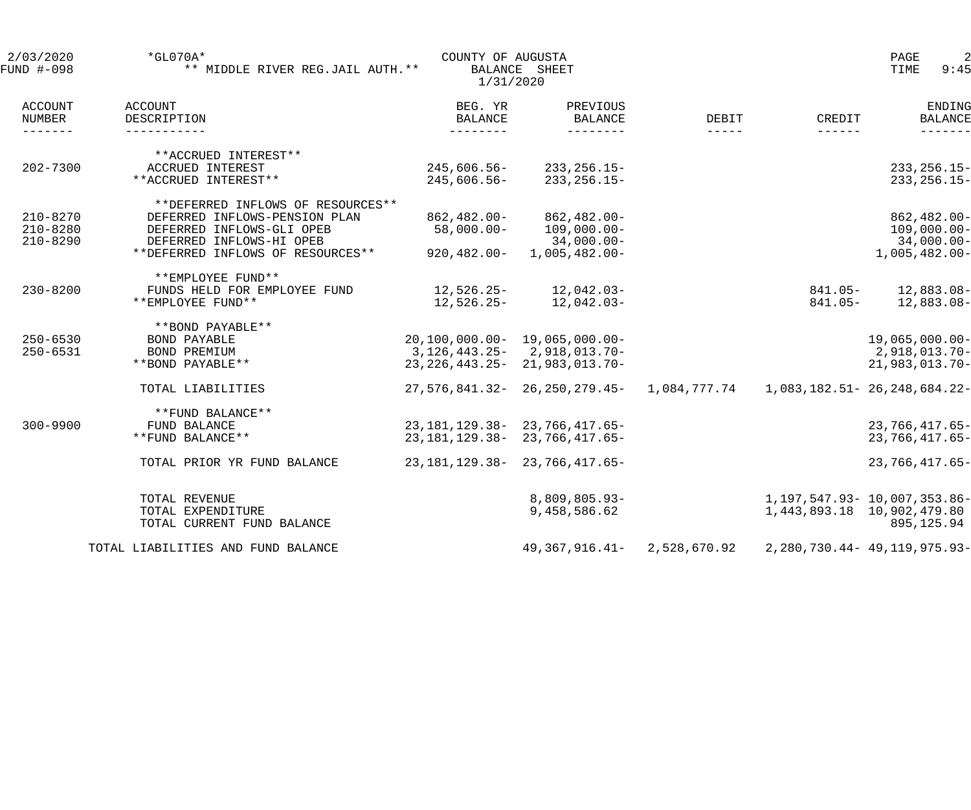| 2/03/2020<br>FUND #-098 | $*GL070A*$<br>** MIDDLE RIVER REG.JAIL AUTH. ** | COUNTY OF AUGUSTA<br>1/31/2020 | BALANCE SHEET                         |               |                              | $\overline{2}$<br>PAGE<br>TIME<br>9:45 |
|-------------------------|-------------------------------------------------|--------------------------------|---------------------------------------|---------------|------------------------------|----------------------------------------|
| ACCOUNT<br>NUMBER       | ACCOUNT<br>DESCRIPTION                          | BEG. YR<br>BALANCE             | PREVIOUS<br><b>BALANCE</b>            | DEBIT         | CREDIT                       | ENDING<br><b>BALANCE</b>               |
| $- - - - - - -$         |                                                 | $- - - - - - - -$              | ---------                             | $- - - - - -$ | $- - - - - -$                |                                        |
|                         | **ACCRUED INTEREST**                            |                                |                                       |               |                              |                                        |
| $202 - 7300$            | ACCRUED INTEREST                                | 245,606.56-                    | $233, 256.15 -$                       |               |                              | $233, 256.15 -$                        |
|                         | **ACCRUED INTEREST**                            | 245,606.56-                    | $233, 256.15 -$                       |               |                              | $233, 256.15 -$                        |
|                         | **DEFERRED INFLOWS OF RESOURCES**               |                                |                                       |               |                              |                                        |
| $210 - 8270$            | DEFERRED INFLOWS-PENSION PLAN                   | 862,482.00-                    | $862, 482.00 -$                       |               |                              | 862,482.00-                            |
| $210 - 8280$            | DEFERRED INFLOWS-GLI OPEB                       | $58,000.00 -$                  | $109,000.00 -$                        |               |                              | $109,000.00 -$                         |
| $210 - 8290$            | DEFERRED INFLOWS-HI OPEB                        |                                | 34,000.00-                            |               |                              | $34,000.00 -$                          |
|                         | **DEFERRED INFLOWS OF RESOURCES**               | 920,482.00-                    | $1,005,482.00-$                       |               |                              | $1,005,482.00 -$                       |
|                         | **EMPLOYEE FUND**                               |                                |                                       |               |                              |                                        |
| $230 - 8200$            | FUNDS HELD FOR EMPLOYEE FUND                    |                                | $12,526.25 - 12,042.03 -$             |               | $841.05 -$                   | 12,883.08-                             |
|                         | **EMPLOYEE FUND**                               | 12,526.25-                     | 12,042.03-                            |               | $841.05-$                    | $12,883.08-$                           |
|                         | **BOND PAYABLE**                                |                                |                                       |               |                              |                                        |
| $250 - 6530$            | <b>BOND PAYABLE</b>                             |                                | $20, 100, 000.00 - 19, 065, 000.00 -$ |               |                              | $19,065,000.00-$                       |
| $250 - 6531$            | BOND PREMIUM                                    |                                | 3, 126, 443. 25 - 2, 918, 013. 70 -   |               |                              | 2,918,013.70-                          |
|                         | **BOND PAYABLE**                                |                                | 23, 226, 443. 25 - 21, 983, 013. 70 - |               |                              | 21,983,013.70-                         |
|                         | TOTAL LIABILITIES                               |                                | 27,576,841.32-26,250,279.45-          | 1,084,777.74  |                              | 1,083,182.51- 26,248,684.22-           |
|                         | **FUND BALANCE**                                |                                |                                       |               |                              |                                        |
| $300 - 9900$            | FUND BALANCE                                    |                                | 23, 181, 129. 38 - 23, 766, 417. 65 - |               |                              | $23,766,417.65-$                       |
|                         | **FUND BALANCE**                                |                                | 23, 181, 129. 38 - 23, 766, 417. 65 - |               |                              | $23,766,417.65-$                       |
|                         | TOTAL PRIOR YR FUND BALANCE                     |                                | 23, 181, 129. 38 - 23, 766, 417. 65 - |               |                              | $23,766,417.65-$                       |
|                         | TOTAL REVENUE                                   |                                | 8,809,805.93-                         |               | 1,197,547.93- 10,007,353.86- |                                        |
|                         | TOTAL EXPENDITURE                               |                                | 9,458,586.62                          |               |                              | 1,443,893.18 10,902,479.80             |
|                         | TOTAL CURRENT FUND BALANCE                      |                                |                                       |               |                              | 895,125.94                             |
|                         | TOTAL LIABILITIES AND FUND BALANCE              |                                | 49,367,916.41-                        | 2,528,670.92  |                              | 2, 280, 730. 44 - 49, 119, 975. 93 -   |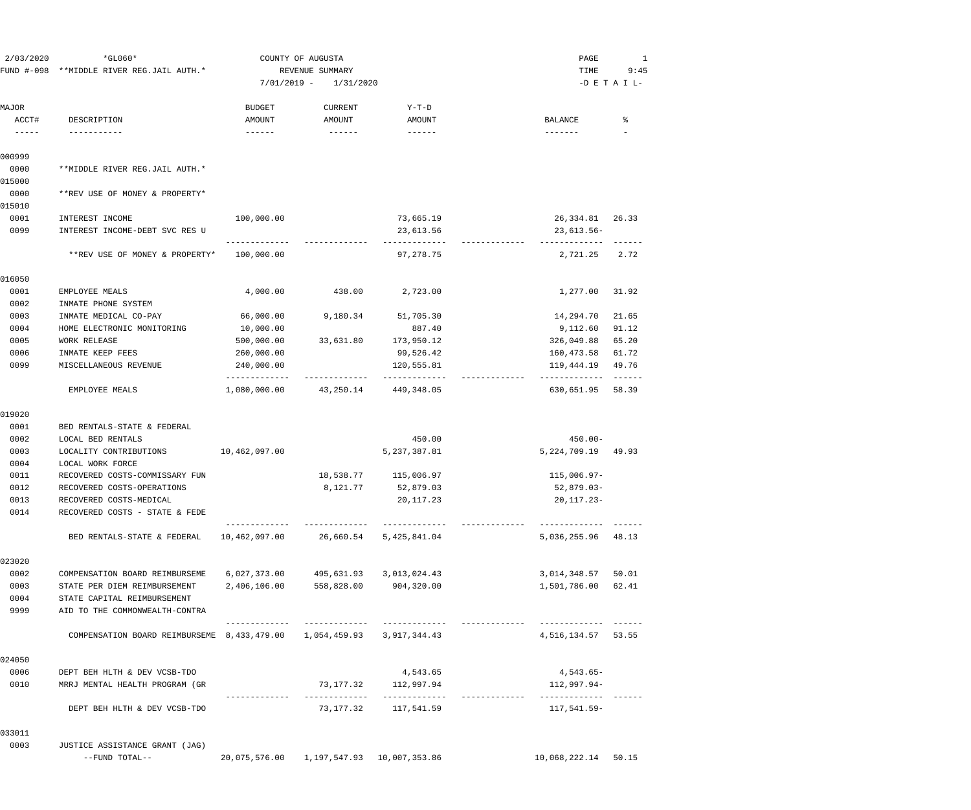| 2/03/2020                           | $*GLO60*$                                                                   |                             | COUNTY OF AUGUSTA                    |                                          | PAGE                              | 1               |
|-------------------------------------|-----------------------------------------------------------------------------|-----------------------------|--------------------------------------|------------------------------------------|-----------------------------------|-----------------|
|                                     | FUND #-098 **MIDDLE RIVER REG.JAIL AUTH.*                                   |                             | REVENUE SUMMARY                      |                                          | TIME                              | 9:45            |
|                                     |                                                                             | $7/01/2019 -$               | 1/31/2020                            |                                          |                                   | $-D$ E T A I L- |
| MAJOR                               |                                                                             | <b>BUDGET</b>               | CURRENT                              | Y-T-D                                    |                                   |                 |
| ACCT#<br>$\cdots\cdots\cdots\cdots$ | DESCRIPTION<br>-----------                                                  | AMOUNT                      | AMOUNT                               | AMOUNT<br>$- - - - - -$                  | BALANCE<br>-------                | ႜ               |
|                                     |                                                                             |                             |                                      |                                          |                                   |                 |
| 000999                              |                                                                             |                             |                                      |                                          |                                   |                 |
| 0000                                | **MIDDLE RIVER REG.JAIL AUTH.*                                              |                             |                                      |                                          |                                   |                 |
| 015000                              |                                                                             |                             |                                      |                                          |                                   |                 |
| 0000<br>015010                      | **REV USE OF MONEY & PROPERTY*                                              |                             |                                      |                                          |                                   |                 |
| 0001                                | INTEREST INCOME                                                             | 100,000.00                  |                                      | 73,665.19                                | 26, 334.81 26.33                  |                 |
| 0099                                | INTEREST INCOME-DEBT SVC RES U                                              |                             |                                      | 23,613.56                                | $23,613.56 -$                     |                 |
|                                     |                                                                             |                             |                                      | -------------                            | -------------                     | $- - - - - - -$ |
|                                     | **REV USE OF MONEY & PROPERTY*                                              | 100,000.00                  |                                      | 97,278.75                                | 2,721.25                          | 2.72            |
| 016050                              |                                                                             |                             |                                      |                                          |                                   |                 |
| 0001                                | EMPLOYEE MEALS                                                              | 4,000.00                    | 438.00                               | 2,723.00                                 | 1,277.00                          | 31.92           |
| 0002                                | INMATE PHONE SYSTEM                                                         |                             |                                      |                                          |                                   |                 |
| 0003                                | INMATE MEDICAL CO-PAY                                                       | 66,000.00                   | 9,180.34                             | 51,705.30                                | 14,294.70                         | 21.65           |
| 0004                                | HOME ELECTRONIC MONITORING                                                  | 10,000.00                   |                                      | 887.40                                   | 9,112.60                          | 91.12           |
| 0005                                | <b>WORK RELEASE</b>                                                         | 500,000.00                  | 33,631.80                            | 173,950.12                               | 326,049.88                        | 65.20           |
| 0006                                | INMATE KEEP FEES                                                            | 260,000.00                  |                                      | 99,526.42                                | 160,473.58                        | 61.72           |
| 0099                                | MISCELLANEOUS REVENUE                                                       | 240,000.00<br>------------- |                                      | 120,555.81<br>-------------              | 119,444.19<br>-------------       | 49.76           |
|                                     | EMPLOYEE MEALS                                                              | 1,080,000.00                | 43,250.14 449,348.05                 |                                          | 630,651.95                        | 58.39           |
| 019020                              |                                                                             |                             |                                      |                                          |                                   |                 |
| 0001                                | BED RENTALS-STATE & FEDERAL                                                 |                             |                                      |                                          |                                   |                 |
| 0002                                | LOCAL BED RENTALS                                                           |                             |                                      | 450.00                                   | $450.00 -$                        |                 |
| 0003                                | LOCALITY CONTRIBUTIONS                                                      | 10,462,097.00               |                                      | 5, 237, 387.81                           | 5,224,709.19                      | 49.93           |
| 0004                                | LOCAL WORK FORCE                                                            |                             |                                      |                                          |                                   |                 |
| 0011                                | RECOVERED COSTS-COMMISSARY FUN                                              |                             |                                      | 18,538.77 115,006.97                     | 115,006.97-                       |                 |
| 0012                                | RECOVERED COSTS-OPERATIONS                                                  |                             | 8,121.77                             | 52,879.03                                | $52,879.03-$                      |                 |
| 0013<br>0014                        | RECOVERED COSTS-MEDICAL<br>RECOVERED COSTS - STATE & FEDE                   |                             |                                      | 20,117.23                                | $20, 117.23 -$                    |                 |
|                                     | BED RENTALS-STATE & FEDERAL                                                 |                             | -------------                        | -------------<br>5,425,841.04            | 5,036,255.96 48.13                |                 |
|                                     |                                                                             |                             |                                      |                                          |                                   |                 |
| 023020                              |                                                                             |                             |                                      |                                          |                                   |                 |
| 0002                                | COMPENSATION BOARD REIMBURSEME                                              |                             | 6,027,373.00 495,631.93 3,013,024.43 |                                          | 3,014,348.57 50.01                |                 |
| 0003                                | STATE PER DIEM REIMBURSEMENT                                                | 2,406,106.00                | 558,828.00 904,320.00                |                                          | 1,501,786.00 62.41                |                 |
| 0004                                | STATE CAPITAL REIMBURSEMENT                                                 |                             |                                      |                                          |                                   |                 |
| 9999                                | AID TO THE COMMONWEALTH-CONTRA                                              |                             | -------------                        | --------------                           | -------------                     |                 |
|                                     | COMPENSATION BOARD REIMBURSEME 8, 433, 479.00 1, 054, 459.93 3, 917, 344.43 |                             |                                      |                                          | 4,516,134.57 53.55                |                 |
| 024050                              |                                                                             |                             |                                      |                                          |                                   |                 |
| 0006                                | DEPT BEH HLTH & DEV VCSB-TDO                                                |                             |                                      | 4,543.65                                 | 4,543.65-                         |                 |
| 0010                                | MRRJ MENTAL HEALTH PROGRAM (GR                                              |                             | -------------                        | 73,177.32 112,997.94<br>--------------   | 112,997.94-<br>------------ ----- |                 |
|                                     | DEPT BEH HLTH & DEV VCSB-TDO                                                |                             |                                      | 73,177.32 117,541.59                     | 117,541.59-                       |                 |
| 033011                              |                                                                             |                             |                                      |                                          |                                   |                 |
| 0003                                | JUSTICE ASSISTANCE GRANT (JAG)<br>--FUND TOTAL--                            |                             |                                      | 20,075,576.00 1,197,547.93 10,007,353.86 | 10,068,222.14 50.15               |                 |
|                                     |                                                                             |                             |                                      |                                          |                                   |                 |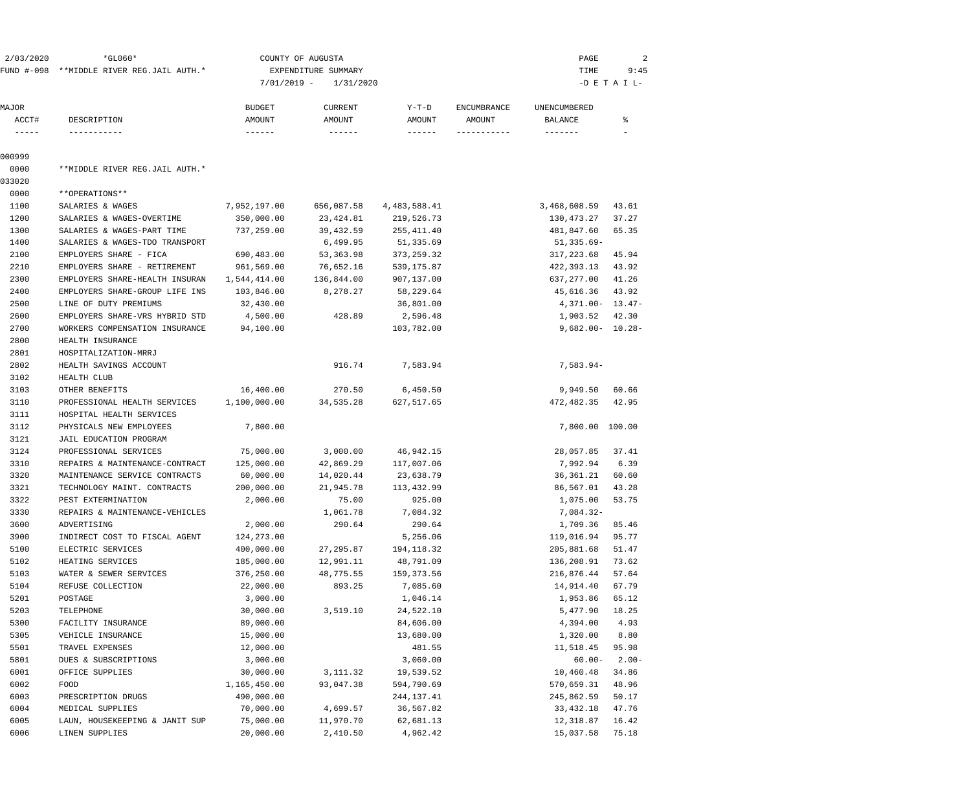| 2/03/2020                  | $*GLO60*$<br>FUND #-098 **MIDDLE RIVER REG.JAIL AUTH.* | COUNTY OF AUGUSTA<br>EXPENDITURE SUMMARY<br>$7/01/2019 -$<br>1/31/2020 |                                 |                 |                              | PAGE<br>TIME<br>9:45<br>$-D$ E T A I L- |         |  |  |  |
|----------------------------|--------------------------------------------------------|------------------------------------------------------------------------|---------------------------------|-----------------|------------------------------|-----------------------------------------|---------|--|--|--|
| MAJOR<br>ACCT#             | DESCRIPTION                                            | <b>BUDGET</b><br>AMOUNT                                                | <b>CURRENT</b><br><b>AMOUNT</b> | Y-T-D<br>AMOUNT | <b>ENCUMBRANCE</b><br>AMOUNT | UNENCUMBERED<br>BALANCE                 | ៖       |  |  |  |
| $\cdots\cdots\cdots\cdots$ | -----------                                            |                                                                        |                                 |                 | -----------                  | $- - - - - - -$                         |         |  |  |  |
| 000999                     |                                                        |                                                                        |                                 |                 |                              |                                         |         |  |  |  |
| 0000                       | **MIDDLE RIVER REG.JAIL AUTH.*                         |                                                                        |                                 |                 |                              |                                         |         |  |  |  |
| 033020                     |                                                        |                                                                        |                                 |                 |                              |                                         |         |  |  |  |
| 0000                       | **OPERATIONS**                                         |                                                                        |                                 |                 |                              |                                         |         |  |  |  |
| 1100                       | SALARIES & WAGES                                       | 7,952,197.00                                                           | 656,087.58                      | 4,483,588.41    |                              | 3,468,608.59                            | 43.61   |  |  |  |
| 1200                       | SALARIES & WAGES-OVERTIME                              | 350,000.00                                                             | 23,424.81                       | 219,526.73      |                              | 130,473.27                              | 37.27   |  |  |  |
| 1300                       | SALARIES & WAGES-PART TIME                             | 737,259.00                                                             | 39,432.59                       | 255, 411.40     |                              | 481,847.60                              | 65.35   |  |  |  |
| 1400                       | SALARIES & WAGES-TDO TRANSPORT                         |                                                                        | 6,499.95                        | 51,335.69       |                              | 51,335.69-                              |         |  |  |  |
| 2100                       | EMPLOYERS SHARE - FICA                                 | 690,483.00                                                             | 53,363.98                       | 373, 259.32     |                              | 317,223.68                              | 45.94   |  |  |  |
| 2210                       | EMPLOYERS SHARE - RETIREMENT                           | 961,569.00                                                             | 76,652.16                       | 539, 175.87     |                              | 422,393.13                              | 43.92   |  |  |  |
| 2300                       | EMPLOYERS SHARE-HEALTH INSURAN                         | 1,544,414.00                                                           | 136,844.00                      | 907,137.00      |                              | 637, 277.00                             | 41.26   |  |  |  |
| 2400                       | EMPLOYERS SHARE-GROUP LIFE INS                         | 103,846.00                                                             | 8,278.27                        | 58,229.64       |                              | 45,616.36                               | 43.92   |  |  |  |
| 2500                       | LINE OF DUTY PREMIUMS                                  | 32,430.00                                                              |                                 | 36,801.00       |                              | $4,371.00 - 13.47 -$                    |         |  |  |  |
| 2600                       | EMPLOYERS SHARE-VRS HYBRID STD                         | 4,500.00                                                               | 428.89                          | 2,596.48        |                              | 1,903.52                                | 42.30   |  |  |  |
| 2700                       | WORKERS COMPENSATION INSURANCE                         | 94,100.00                                                              |                                 | 103,782.00      |                              | $9,682.00 - 10.28 -$                    |         |  |  |  |
| 2800                       | HEALTH INSURANCE                                       |                                                                        |                                 |                 |                              |                                         |         |  |  |  |
| 2801                       | HOSPITALIZATION-MRRJ                                   |                                                                        |                                 |                 |                              |                                         |         |  |  |  |
| 2802                       | HEALTH SAVINGS ACCOUNT                                 |                                                                        | 916.74                          | 7,583.94        |                              | $7,583.94-$                             |         |  |  |  |
| 3102                       | HEALTH CLUB                                            |                                                                        |                                 |                 |                              |                                         |         |  |  |  |
| 3103                       | OTHER BENEFITS                                         | 16,400.00                                                              | 270.50                          | 6,450.50        |                              | 9,949.50                                | 60.66   |  |  |  |
| 3110                       | PROFESSIONAL HEALTH SERVICES                           | 1,100,000.00                                                           | 34,535.28                       | 627,517.65      |                              | 472,482.35                              | 42.95   |  |  |  |
| 3111                       | HOSPITAL HEALTH SERVICES                               |                                                                        |                                 |                 |                              |                                         |         |  |  |  |
| 3112                       | PHYSICALS NEW EMPLOYEES                                | 7,800.00                                                               |                                 |                 |                              | 7,800.00 100.00                         |         |  |  |  |
| 3121                       | JAIL EDUCATION PROGRAM                                 |                                                                        |                                 |                 |                              |                                         |         |  |  |  |
| 3124                       | PROFESSIONAL SERVICES                                  | 75,000.00                                                              | 3,000.00                        | 46,942.15       |                              | 28,057.85                               | 37.41   |  |  |  |
| 3310                       | REPAIRS & MAINTENANCE-CONTRACT                         | 125,000.00                                                             | 42,869.29                       | 117,007.06      |                              | 7,992.94                                | 6.39    |  |  |  |
| 3320                       | MAINTENANCE SERVICE CONTRACTS                          | 60,000.00                                                              | 14,020.44                       | 23,638.79       |                              | 36,361.21                               | 60.60   |  |  |  |
| 3321                       | TECHNOLOGY MAINT. CONTRACTS                            | 200,000.00                                                             | 21,945.78                       | 113,432.99      |                              | 86,567.01                               | 43.28   |  |  |  |
| 3322                       | PEST EXTERMINATION                                     | 2,000.00                                                               | 75.00                           | 925.00          |                              | 1,075.00                                | 53.75   |  |  |  |
| 3330                       | REPAIRS & MAINTENANCE-VEHICLES                         |                                                                        | 1,061.78                        | 7,084.32        |                              | $7,084.32-$                             |         |  |  |  |
| 3600                       | ADVERTISING                                            | 2,000.00                                                               | 290.64                          | 290.64          |                              | 1,709.36                                | 85.46   |  |  |  |
| 3900                       | INDIRECT COST TO FISCAL AGENT                          | 124,273.00                                                             |                                 | 5,256.06        |                              | 119,016.94                              | 95.77   |  |  |  |
| 5100                       | ELECTRIC SERVICES                                      | 400,000.00                                                             | 27, 295.87                      | 194, 118.32     |                              | 205,881.68                              | 51.47   |  |  |  |
| 5102                       | HEATING SERVICES                                       | 185,000.00                                                             | 12,991.11                       | 48,791.09       |                              | 136,208.91                              | 73.62   |  |  |  |
| 5103                       | WATER & SEWER SERVICES                                 | 376,250.00                                                             | 48,775.55                       | 159,373.56      |                              | 216,876.44                              | 57.64   |  |  |  |
| 5104                       | REFUSE COLLECTION                                      | 22,000.00                                                              | 893.25                          | 7,085.60        |                              | 14,914.40                               | 67.79   |  |  |  |
| 5201                       | POSTAGE                                                | 3,000.00                                                               |                                 | 1,046.14        |                              | 1,953.86                                | 65.12   |  |  |  |
| 5203                       | TELEPHONE                                              | 30,000.00                                                              | 3,519.10                        | 24,522.10       |                              | 5,477.90                                | 18.25   |  |  |  |
| 5300                       | FACILITY INSURANCE                                     | 89,000.00                                                              |                                 | 84,606.00       |                              | 4,394.00                                | 4.93    |  |  |  |
| 5305                       | VEHICLE INSURANCE                                      | 15,000.00                                                              |                                 | 13,680.00       |                              | 1,320.00                                | 8.80    |  |  |  |
| 5501                       | TRAVEL EXPENSES                                        | 12,000.00                                                              |                                 | 481.55          |                              | 11,518.45                               | 95.98   |  |  |  |
| 5801                       | DUES & SUBSCRIPTIONS                                   | 3,000.00                                                               |                                 | 3,060.00        |                              | $60.00 -$                               | $2.00-$ |  |  |  |
| 6001                       | OFFICE SUPPLIES                                        | 30,000.00                                                              | 3, 111.32                       | 19,539.52       |                              | 10,460.48                               | 34.86   |  |  |  |
| 6002                       | FOOD                                                   | 1,165,450.00                                                           | 93,047.38                       | 594,790.69      |                              | 570,659.31                              | 48.96   |  |  |  |
| 6003                       | PRESCRIPTION DRUGS                                     | 490,000.00                                                             |                                 | 244, 137. 41    |                              | 245,862.59                              | 50.17   |  |  |  |
| 6004                       | MEDICAL SUPPLIES                                       | 70,000.00                                                              | 4,699.57                        | 36,567.82       |                              | 33, 432. 18                             | 47.76   |  |  |  |
| 6005                       | LAUN, HOUSEKEEPING & JANIT SUP                         | 75,000.00                                                              | 11,970.70                       | 62,681.13       |                              | 12,318.87                               | 16.42   |  |  |  |
| 6006                       | LINEN SUPPLIES                                         | 20,000.00                                                              | 2,410.50                        | 4,962.42        |                              | 15,037.58                               | 75.18   |  |  |  |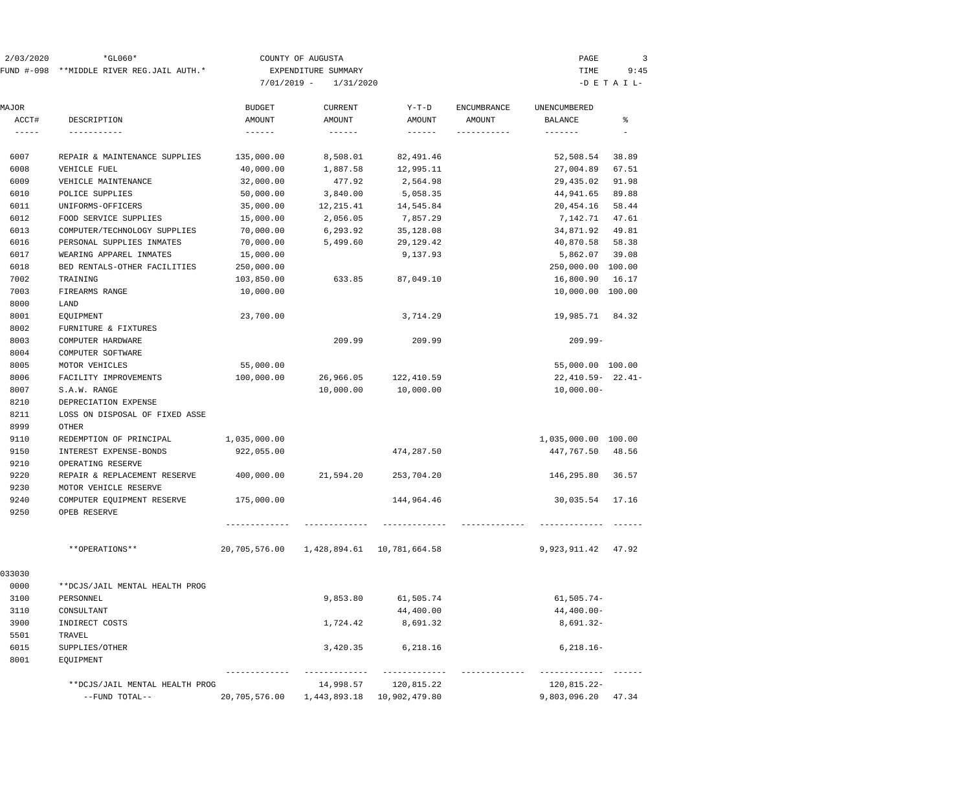| 2/03/2020  | $*GLO60*$                      |               | COUNTY OF AUGUSTA   |                               |                    | PAGE                  | 3               |
|------------|--------------------------------|---------------|---------------------|-------------------------------|--------------------|-----------------------|-----------------|
| FUND #-098 | **MIDDLE RIVER REG.JAIL AUTH.* |               | EXPENDITURE SUMMARY |                               |                    | TIME                  | 9:45            |
|            |                                | $7/01/2019 -$ | 1/31/2020           |                               |                    |                       | $-D$ E T A I L- |
|            |                                |               |                     |                               |                    |                       |                 |
| MAJOR      |                                | <b>BUDGET</b> | <b>CURRENT</b>      | $Y-T-D$                       | <b>ENCUMBRANCE</b> | UNENCUMBERED          |                 |
| ACCT#      | DESCRIPTION                    | AMOUNT        | AMOUNT              | AMOUNT                        | AMOUNT             | <b>BALANCE</b>        | ి               |
| -----      | -----------                    | ------        |                     | $------$                      |                    | -------               |                 |
| 6007       | REPAIR & MAINTENANCE SUPPLIES  | 135,000.00    | 8,508.01            | 82,491.46                     |                    | 52,508.54             | 38.89           |
| 6008       | VEHICLE FUEL                   | 40,000.00     | 1,887.58            | 12,995.11                     |                    | 27,004.89             | 67.51           |
| 6009       | VEHICLE MAINTENANCE            | 32,000.00     | 477.92              | 2,564.98                      |                    | 29,435.02             | 91.98           |
| 6010       | POLICE SUPPLIES                | 50,000.00     | 3,840.00            | 5,058.35                      |                    | 44,941.65             | 89.88           |
| 6011       | UNIFORMS-OFFICERS              | 35,000.00     | 12,215.41           | 14,545.84                     |                    | 20,454.16             | 58.44           |
| 6012       | FOOD SERVICE SUPPLIES          | 15,000.00     | 2,056.05            | 7,857.29                      |                    | 7,142.71              | 47.61           |
| 6013       | COMPUTER/TECHNOLOGY SUPPLIES   | 70,000.00     | 6,293.92            | 35,128.08                     |                    | 34,871.92             | 49.81           |
| 6016       | PERSONAL SUPPLIES INMATES      | 70,000.00     | 5,499.60            | 29, 129. 42                   |                    | 40,870.58             | 58.38           |
| 6017       | WEARING APPAREL INMATES        | 15,000.00     |                     | 9,137.93                      |                    | 5,862.07              | 39.08           |
| 6018       | BED RENTALS-OTHER FACILITIES   | 250,000.00    |                     |                               |                    | 250,000.00 100.00     |                 |
| 7002       | TRAINING                       | 103,850.00    | 633.85              | 87,049.10                     |                    | 16,800.90             | 16.17           |
| 7003       | FIREARMS RANGE                 | 10,000.00     |                     |                               |                    | 10,000.00 100.00      |                 |
| 8000       | LAND                           |               |                     |                               |                    |                       |                 |
| 8001       | EQUIPMENT                      | 23,700.00     |                     | 3,714.29                      |                    | 19,985.71             | 84.32           |
| 8002       | FURNITURE & FIXTURES           |               |                     |                               |                    |                       |                 |
| 8003       | COMPUTER HARDWARE              |               | 209.99              | 209.99                        |                    | $209.99 -$            |                 |
| 8004       | COMPUTER SOFTWARE              |               |                     |                               |                    |                       |                 |
| 8005       | MOTOR VEHICLES                 | 55,000.00     |                     |                               |                    | 55,000.00 100.00      |                 |
| 8006       | FACILITY IMPROVEMENTS          | 100,000.00    | 26,966.05           | 122,410.59                    |                    | $22,410.59 - 22.41 -$ |                 |
| 8007       | S.A.W. RANGE                   |               | 10,000.00           | 10,000.00                     |                    | $10,000.00-$          |                 |
| 8210       | DEPRECIATION EXPENSE           |               |                     |                               |                    |                       |                 |
| 8211       | LOSS ON DISPOSAL OF FIXED ASSE |               |                     |                               |                    |                       |                 |
| 8999       | OTHER                          |               |                     |                               |                    |                       |                 |
| 9110       | REDEMPTION OF PRINCIPAL        | 1,035,000.00  |                     |                               |                    | 1,035,000.00 100.00   |                 |
| 9150       | INTEREST EXPENSE-BONDS         | 922,055.00    |                     | 474,287.50                    |                    | 447,767.50            | 48.56           |
| 9210       | OPERATING RESERVE              |               |                     |                               |                    |                       |                 |
| 9220       | REPAIR & REPLACEMENT RESERVE   | 400,000.00    | 21,594.20           | 253,704.20                    |                    | 146,295.80            | 36.57           |
| 9230       | MOTOR VEHICLE RESERVE          |               |                     |                               |                    |                       |                 |
| 9240       | COMPUTER EQUIPMENT RESERVE     | 175,000.00    |                     | 144,964.46                    |                    | 30,035.54             | 17.16           |
| 9250       | OPEB RESERVE                   |               |                     |                               |                    |                       |                 |
|            |                                |               |                     |                               |                    |                       |                 |
|            | **OPERATIONS**                 | 20,705,576.00 |                     | 1,428,894.61    10,781,664.58 |                    | 9,923,911.42 47.92    |                 |
| 033030     |                                |               |                     |                               |                    |                       |                 |
| 0000       | **DCJS/JAIL MENTAL HEALTH PROG |               |                     |                               |                    |                       |                 |
| 3100       | PERSONNEL                      |               | 9,853.80            | 61,505.74                     |                    | $61, 505.74 -$        |                 |
| 3110       | CONSULTANT                     |               |                     | 44,400.00                     |                    | $44,400.00-$          |                 |
| 3900       | INDIRECT COSTS                 |               | 1,724.42            | 8,691.32                      |                    | $8,691.32-$           |                 |
| 5501       | TRAVEL                         |               |                     |                               |                    |                       |                 |
| 6015       | SUPPLIES/OTHER                 |               | 3,420.35            | 6,218.16                      |                    | $6, 218.16 -$         |                 |
| 8001       | EQUIPMENT                      |               |                     |                               |                    |                       |                 |
|            | **DCJS/JAIL MENTAL HEALTH PROG |               | 14,998.57           | 120,815.22                    |                    | 120,815.22-           |                 |
|            | --FUND TOTAL--                 | 20,705,576.00 |                     | 1,443,893.18  10,902,479.80   |                    | 9,803,096.20 47.34    |                 |
|            |                                |               |                     |                               |                    |                       |                 |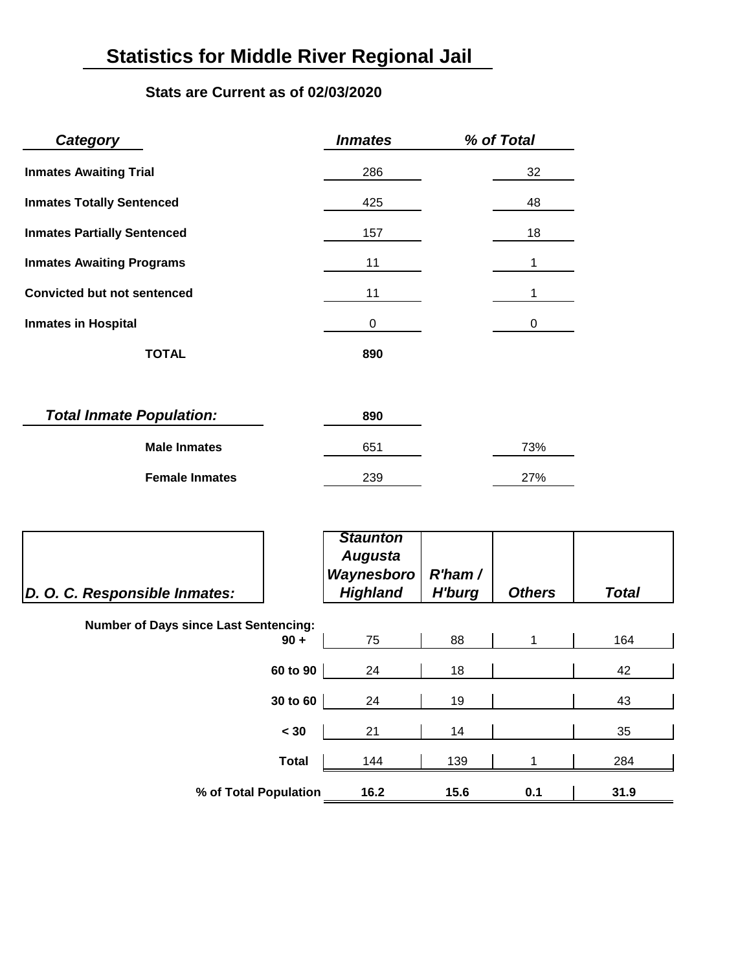# **Statistics for Middle River Regional Jail**

### **Stats are Current as of 02/03/2020**

| Category                           | <b>Inmates</b> | % of Total |
|------------------------------------|----------------|------------|
| <b>Inmates Awaiting Trial</b>      | 286            | 32         |
| <b>Inmates Totally Sentenced</b>   | 425            | 48         |
| <b>Inmates Partially Sentenced</b> | 157            | 18         |
| <b>Inmates Awaiting Programs</b>   | 11             |            |
| <b>Convicted but not sentenced</b> | 11             |            |
| <b>Inmates in Hospital</b>         | 0              | 0          |
| <b>TOTAL</b>                       | 890            |            |
|                                    |                |            |
| <b>Total Inmate Population:</b>    | 890            |            |
| <b>Male Inmates</b>                | 651            | 73%        |

| <b>Female Inmates</b> | 239 | ነ7% |
|-----------------------|-----|-----|
|                       |     |     |

| D. O. C. Responsible Inmates:                |              | <b>Staunton</b><br><b>Augusta</b><br>Waynesboro<br><b>Highland</b> | $R'$ ham /<br><b>H'burg</b> | <b>Others</b> | <b>Total</b> |  |  |
|----------------------------------------------|--------------|--------------------------------------------------------------------|-----------------------------|---------------|--------------|--|--|
| <b>Number of Days since Last Sentencing:</b> |              |                                                                    |                             |               |              |  |  |
|                                              | $90 +$       | 75                                                                 | 88                          |               | 164          |  |  |
|                                              | 60 to 90     | 24                                                                 | 18                          |               | 42           |  |  |
|                                              | 30 to 60     | 24                                                                 | 19                          |               | 43           |  |  |
|                                              | < 30         | 21                                                                 | 14                          |               | 35           |  |  |
|                                              | <b>Total</b> | 144                                                                | 139                         |               | 284          |  |  |
| % of Total Population                        |              | 16.2                                                               | 15.6                        | 0.1           | 31.9         |  |  |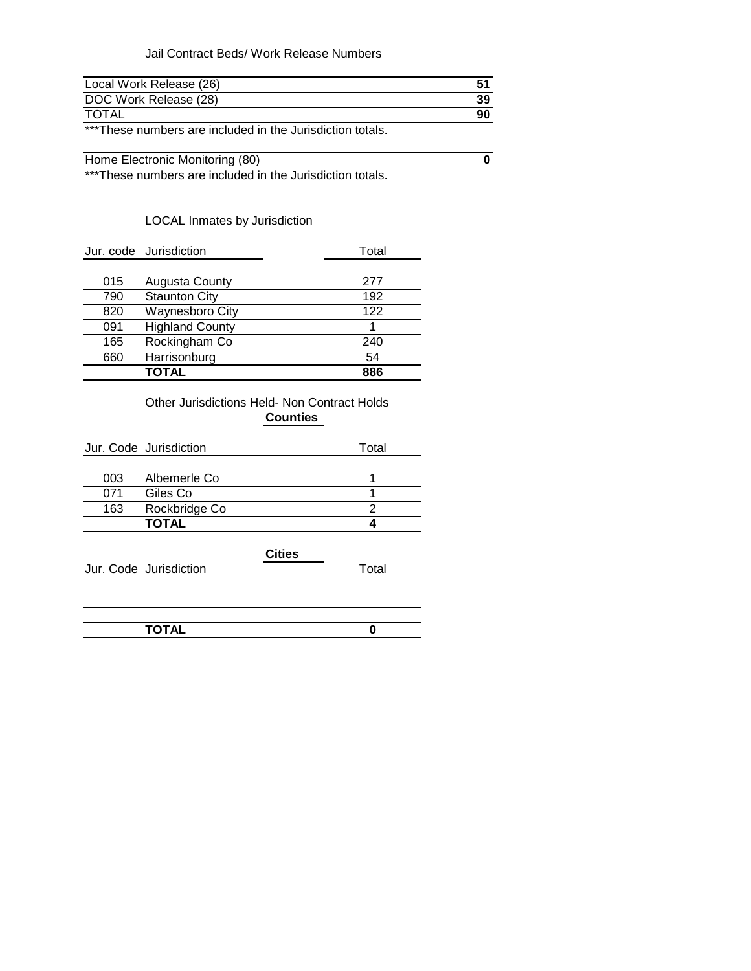### Jail Contract Beds/ Work Release Numbers

| Local Work Release (26) |    |
|-------------------------|----|
| DOC Work Release (28)   | 39 |
| <b>TOTAL</b>            | 90 |

\*\*\*These numbers are included in the Jurisdiction totals.

| Home Electronic Monitoring (80) |  |                                                                                                                 |  |  |  |  |  |  |  |  |  |
|---------------------------------|--|-----------------------------------------------------------------------------------------------------------------|--|--|--|--|--|--|--|--|--|
|                                 |  | the contract of the contract of the contract of the contract of the contract of the contract of the contract of |  |  |  |  |  |  |  |  |  |

\*\*\*These numbers are included in the Jurisdiction totals.

### LOCAL Inmates by Jurisdiction

|     | Jur. code Jurisdiction | Total |  |
|-----|------------------------|-------|--|
|     |                        |       |  |
| 015 | <b>Augusta County</b>  | 277   |  |
| 790 | <b>Staunton City</b>   | 192   |  |
| 820 | <b>Waynesboro City</b> | 122   |  |
| 091 | <b>Highland County</b> |       |  |
| 165 | Rockingham Co          | 240   |  |
| 660 | Harrisonburg           | 54    |  |
|     | <b>TOTAL</b>           | 886   |  |

### Other Jurisdictions Held- Non Contract Holds **Counties**

|     | Jur. Code Jurisdiction | Total |
|-----|------------------------|-------|
|     |                        |       |
| 003 | Albemerle Co           |       |
| 071 | Giles Co               |       |
| 163 | Rockbridge Co          |       |
|     | <b>TOTAL</b>           |       |
|     |                        |       |

Jur. Code Jurisdiction **The Contract Code Contract Code** 

| <b>TOTAL</b><br>. <del>.</del> |  |
|--------------------------------|--|
|                                |  |

**Cities**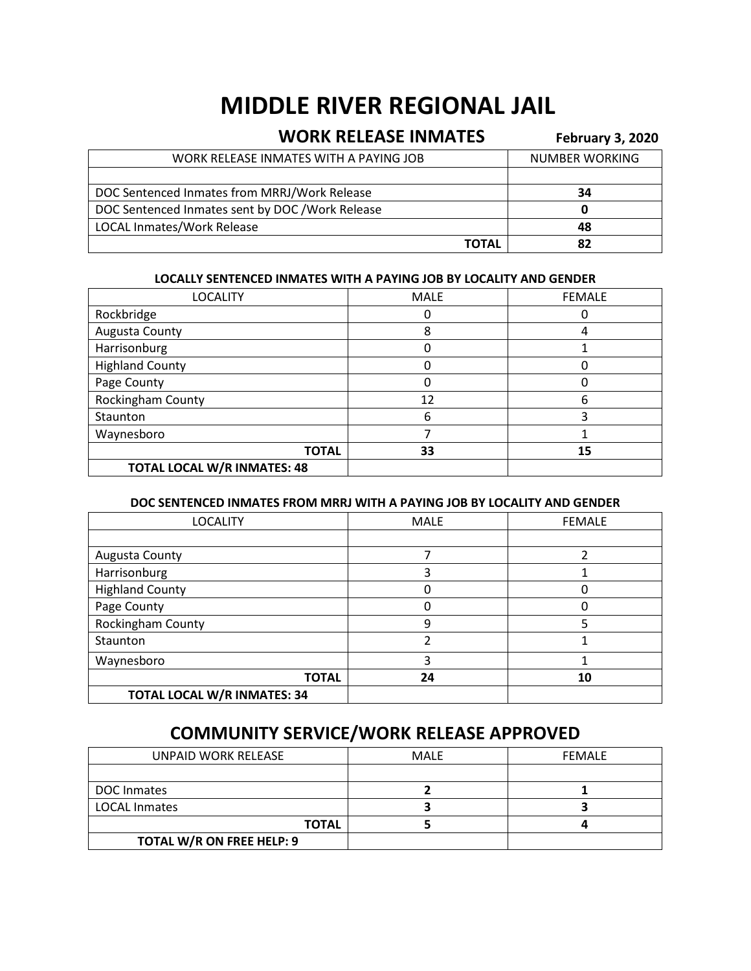# **MIDDLE RIVER REGIONAL JAIL**

### **WORK RELEASE INMATES** February 3, 2020

| WORK RELEASE INMATES WITH A PAYING JOB           | <b>NUMBER WORKING</b> |
|--------------------------------------------------|-----------------------|
|                                                  |                       |
| DOC Sentenced Inmates from MRRJ/Work Release     | 34                    |
| DOC Sentenced Inmates sent by DOC / Work Release |                       |
| <b>LOCAL Inmates/Work Release</b>                | 48                    |
| ΤΟΤΑL                                            | 82                    |

### **LOCALLY SENTENCED INMATES WITH A PAYING JOB BY LOCALITY AND GENDER**

| <b>LOCALITY</b>                    | <b>MALE</b> | <b>FEMALE</b> |
|------------------------------------|-------------|---------------|
| Rockbridge                         |             |               |
| Augusta County                     | 8           |               |
| Harrisonburg                       |             |               |
| <b>Highland County</b>             | O           |               |
| Page County                        | 0           |               |
| Rockingham County                  | 12          | 6             |
| Staunton                           | 6           | 3             |
| Waynesboro                         |             |               |
| <b>TOTAL</b>                       | 33          | 15            |
| <b>TOTAL LOCAL W/R INMATES: 48</b> |             |               |

### **DOC SENTENCED INMATES FROM MRRJ WITH A PAYING JOB BY LOCALITY AND GENDER**

| <b>LOCALITY</b>                    | <b>MALE</b> | <b>FEMALE</b> |
|------------------------------------|-------------|---------------|
|                                    |             |               |
| Augusta County                     |             |               |
| Harrisonburg                       | 3           |               |
| <b>Highland County</b>             |             |               |
| Page County                        |             |               |
| Rockingham County                  | 9           | 5             |
| Staunton                           |             |               |
| Waynesboro                         | 3           |               |
| <b>TOTAL</b>                       | 24          | 10            |
| <b>TOTAL LOCAL W/R INMATES: 34</b> |             |               |

### **COMMUNITY SERVICE/WORK RELEASE APPROVED**

| UNPAID WORK RELEASE       | <b>MALE</b> | <b>FEMALE</b> |
|---------------------------|-------------|---------------|
|                           |             |               |
| DOC Inmates               |             |               |
| <b>LOCAL Inmates</b>      |             |               |
| <b>TOTAL</b>              |             |               |
| TOTAL W/R ON FREE HELP: 9 |             |               |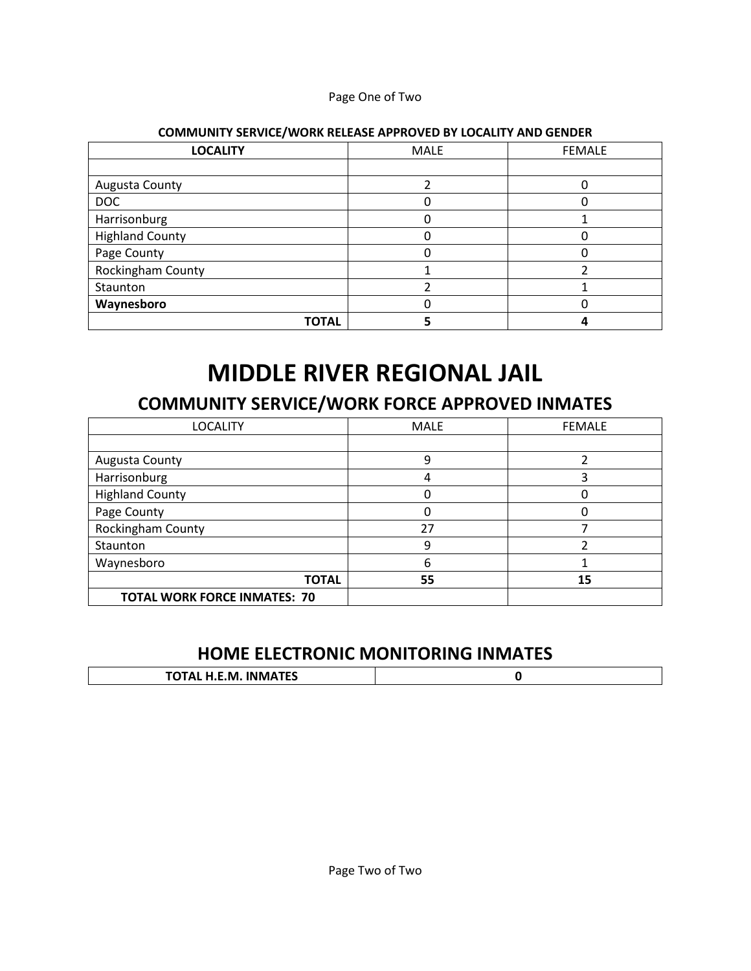### Page One of Two

| <b>LOCALITY</b>        | <b>MALE</b> | <b>FEMALE</b> |
|------------------------|-------------|---------------|
|                        |             |               |
| Augusta County         |             |               |
| <b>DOC</b>             |             |               |
| Harrisonburg           | 0           |               |
| <b>Highland County</b> |             |               |
| Page County            |             |               |
| Rockingham County      |             |               |
| Staunton               |             |               |
| Waynesboro             |             |               |
| <b>TOTAL</b>           |             |               |

### **COMMUNITY SERVICE/WORK RELEASE APPROVED BY LOCALITY AND GENDER**

# **MIDDLE RIVER REGIONAL JAIL**

## **COMMUNITY SERVICE/WORK FORCE APPROVED INMATES**

| <b>LOCALITY</b>                     | <b>MALE</b> | <b>FEMALE</b> |
|-------------------------------------|-------------|---------------|
|                                     |             |               |
| Augusta County                      | 9           | า             |
| Harrisonburg                        | 4           | 3             |
| <b>Highland County</b>              |             | C             |
| Page County                         | 0           | 0             |
| Rockingham County                   | 27          |               |
| Staunton                            | 9           |               |
| Waynesboro                          | 6           |               |
| <b>TOTAL</b>                        | 55          | 15            |
| <b>TOTAL WORK FORCE INMATES: 70</b> |             |               |

## **HOME ELECTRONIC MONITORING INMATES**

| <b>IBIBAATEC</b><br>$\sim$<br>. H.E.M. INMATES<br>.0.71 |  |
|---------------------------------------------------------|--|
|                                                         |  |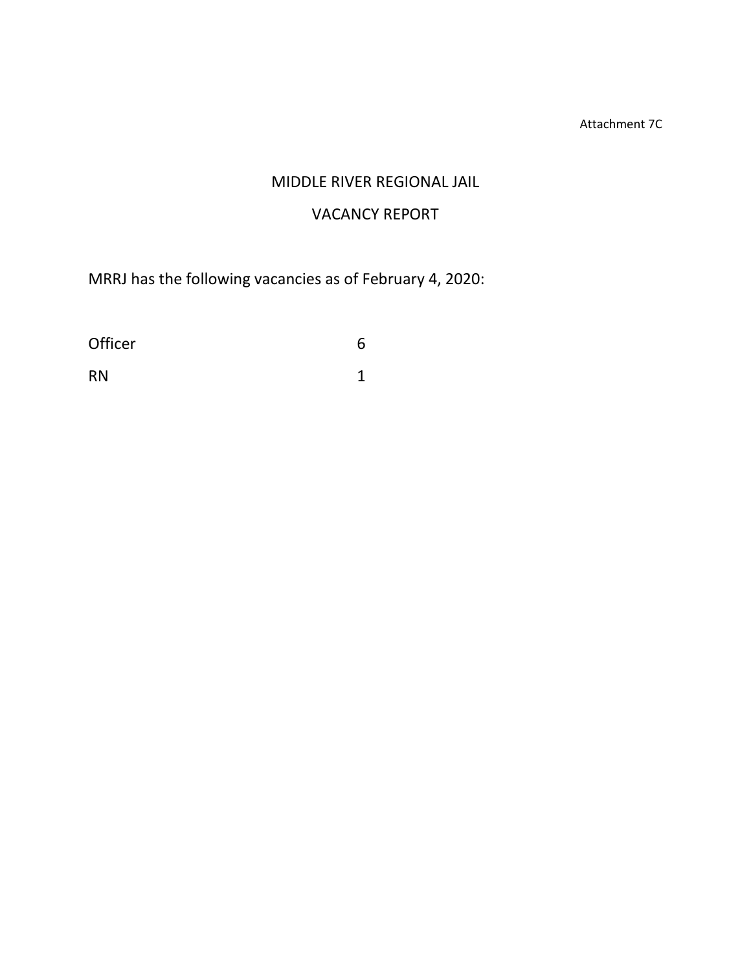Attachment 7C

### MIDDLE RIVER REGIONAL JAIL

### VACANCY REPORT

MRRJ has the following vacancies as of February 4, 2020:

| Officer   | 6 |
|-----------|---|
| <b>RN</b> | ◀ |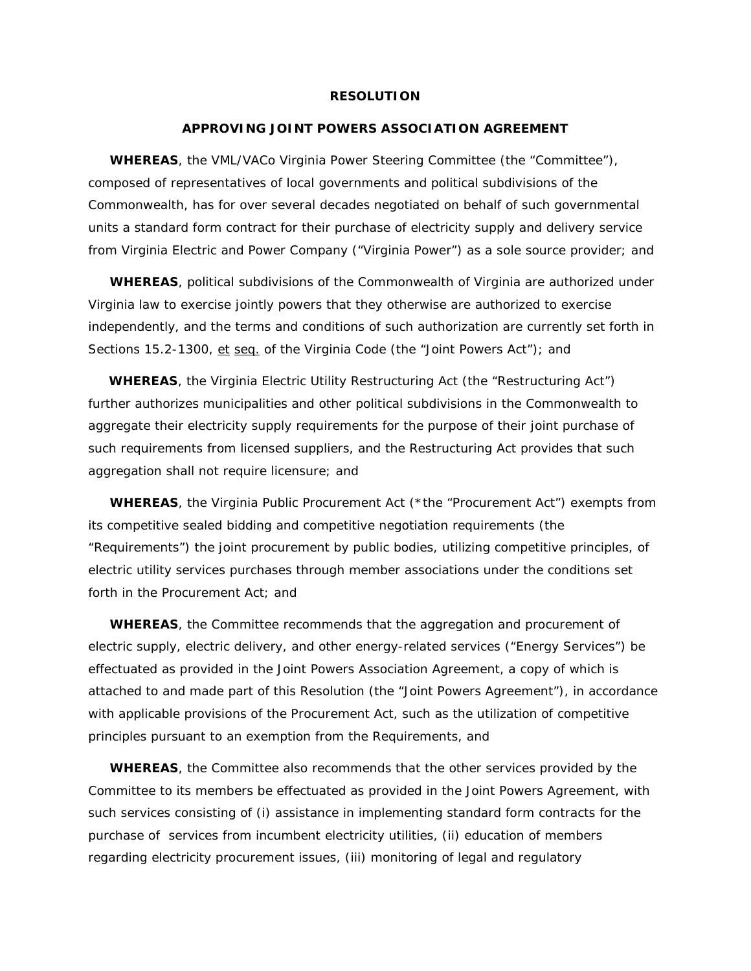#### **RESOLUTION**

#### **APPROVING JOINT POWERS ASSOCIATION AGREEMENT**

**WHEREAS**, the VML/VACo Virginia Power Steering Committee (the "Committee"), composed of representatives of local governments and political subdivisions of the Commonwealth, has for over several decades negotiated on behalf of such governmental units a standard form contract for their purchase of electricity supply and delivery service from Virginia Electric and Power Company ("Virginia Power") as a sole source provider; and

 **WHEREAS**, political subdivisions of the Commonwealth of Virginia are authorized under Virginia law to exercise jointly powers that they otherwise are authorized to exercise independently, and the terms and conditions of such authorization are currently set forth in Sections 15.2-1300, et seq. of the Virginia Code (the "Joint Powers Act"); and

 **WHEREAS**, the Virginia Electric Utility Restructuring Act (the "Restructuring Act") further authorizes municipalities and other political subdivisions in the Commonwealth to aggregate their electricity supply requirements for the purpose of their joint purchase of such requirements from licensed suppliers, and the Restructuring Act provides that such aggregation shall not require licensure; and

 **WHEREAS**, the Virginia Public Procurement Act (\*the "Procurement Act") exempts from its competitive sealed bidding and competitive negotiation requirements (the "Requirements") the joint procurement by public bodies, utilizing competitive principles, of electric utility services purchases through member associations under the conditions set forth in the Procurement Act; and

 **WHEREAS**, the Committee recommends that the aggregation and procurement of electric supply, electric delivery, and other energy-related services ("Energy Services") be effectuated as provided in the Joint Powers Association Agreement, a copy of which is attached to and made part of this Resolution (the "Joint Powers Agreement"), in accordance with applicable provisions of the Procurement Act, such as the utilization of competitive principles pursuant to an exemption from the Requirements, and

 **WHEREAS**, the Committee also recommends that the other services provided by the Committee to its members be effectuated as provided in the Joint Powers Agreement, with such services consisting of (i) assistance in implementing standard form contracts for the purchase of services from incumbent electricity utilities, (ii) education of members regarding electricity procurement issues, (iii) monitoring of legal and regulatory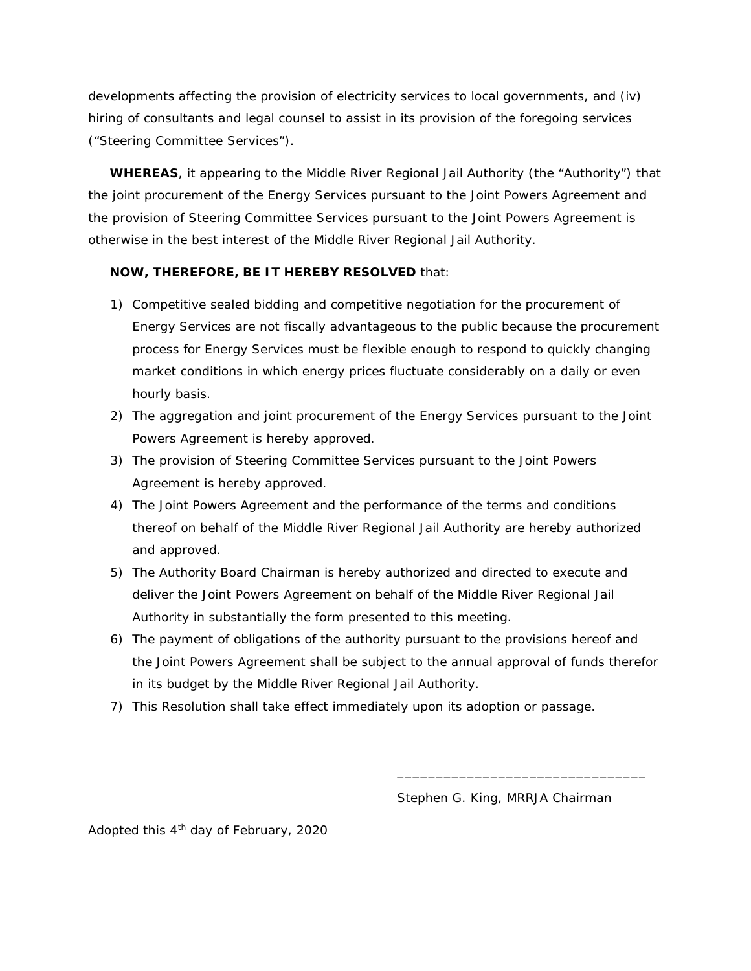developments affecting the provision of electricity services to local governments, and (iv) hiring of consultants and legal counsel to assist in its provision of the foregoing services ("Steering Committee Services").

 **WHEREAS**, it appearing to the Middle River Regional Jail Authority (the "Authority") that the joint procurement of the Energy Services pursuant to the Joint Powers Agreement and the provision of Steering Committee Services pursuant to the Joint Powers Agreement is otherwise in the best interest of the Middle River Regional Jail Authority.

### **NOW, THEREFORE, BE IT HEREBY RESOLVED** that:

- 1) Competitive sealed bidding and competitive negotiation for the procurement of Energy Services are not fiscally advantageous to the public because the procurement process for Energy Services must be flexible enough to respond to quickly changing market conditions in which energy prices fluctuate considerably on a daily or even hourly basis.
- 2) The aggregation and joint procurement of the Energy Services pursuant to the Joint Powers Agreement is hereby approved.
- 3) The provision of Steering Committee Services pursuant to the Joint Powers Agreement is hereby approved.
- 4) The Joint Powers Agreement and the performance of the terms and conditions thereof on behalf of the Middle River Regional Jail Authority are hereby authorized and approved.
- 5) The Authority Board Chairman is hereby authorized and directed to execute and deliver the Joint Powers Agreement on behalf of the Middle River Regional Jail Authority in substantially the form presented to this meeting.
- 6) The payment of obligations of the authority pursuant to the provisions hereof and the Joint Powers Agreement shall be subject to the annual approval of funds therefor in its budget by the Middle River Regional Jail Authority.
- 7) This Resolution shall take effect immediately upon its adoption or passage.

Stephen G. King, MRRJA Chairman

\_\_\_\_\_\_\_\_\_\_\_\_\_\_\_\_\_\_\_\_\_\_\_\_\_\_\_\_\_\_\_\_

Adopted this  $4<sup>th</sup>$  day of February, 2020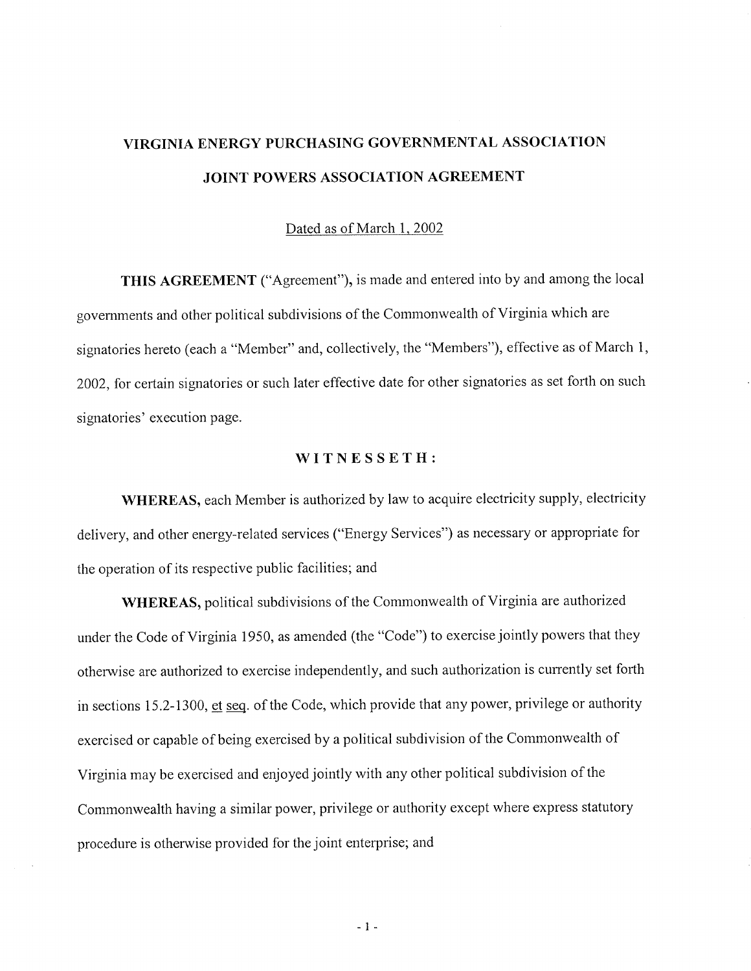## VIRGINIA ENERGY PURCHASING GOVERNMENTAL ASSOCIATION JOINT POWERS ASSOCIATION AGREEMENT

### Dated as of March 1, 2002

**THIS AGREEMENT** ("Agreement"), is made and entered into by and among the local governments and other political subdivisions of the Commonwealth of Virginia which are signatories hereto (each a "Member" and, collectively, the "Members"), effective as of March 1, 2002, for certain signatories or such later effective date for other signatories as set forth on such signatories' execution page.

### WITNESSETH:

**WHEREAS**, each Member is authorized by law to acquire electricity supply, electricity delivery, and other energy-related services ("Energy Services") as necessary or appropriate for the operation of its respective public facilities; and

WHEREAS, political subdivisions of the Commonwealth of Virginia are authorized under the Code of Virginia 1950, as amended (the "Code") to exercise jointly powers that they otherwise are authorized to exercise independently, and such authorization is currently set forth in sections 15.2-1300, et seq. of the Code, which provide that any power, privilege or authority exercised or capable of being exercised by a political subdivision of the Commonwealth of Virginia may be exercised and enjoyed jointly with any other political subdivision of the Commonwealth having a similar power, privilege or authority except where express statutory procedure is otherwise provided for the joint enterprise; and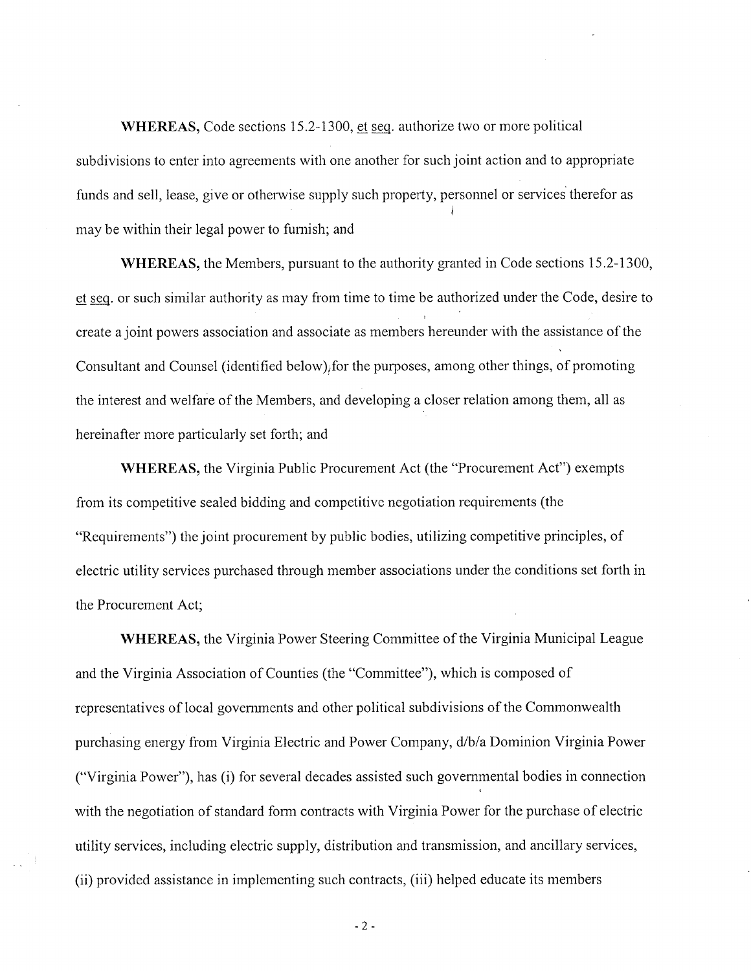**WHEREAS, Code sections 15.2-1300, et seq. authorize two or more political** subdivisions to enter into agreements with one another for such joint action and to appropriate funds and sell, lease, give or otherwise supply such property, personnel or services therefor as may be within their legal power to furnish; and

**WHEREAS**, the Members, pursuant to the authority granted in Code sections 15.2-1300, et seq. or such similar authority as may from time to time be authorized under the Code, desire to create a joint powers association and associate as members hereunder with the assistance of the Consultant and Counsel (identified below), for the purposes, among other things, of promoting the interest and welfare of the Members, and developing a closer relation among them, all as hereinafter more particularly set forth; and

WHEREAS, the Virginia Public Procurement Act (the "Procurement Act") exempts from its competitive sealed bidding and competitive negotiation requirements (the "Requirements") the joint procurement by public bodies, utilizing competitive principles, of electric utility services purchased through member associations under the conditions set forth in the Procurement Act;

**WHEREAS, the Virginia Power Steering Committee of the Virginia Municipal League** and the Virginia Association of Counties (the "Committee"), which is composed of representatives of local governments and other political subdivisions of the Commonwealth purchasing energy from Virginia Electric and Power Company, d/b/a Dominion Virginia Power ("Virginia Power"), has (i) for several decades assisted such governmental bodies in connection with the negotiation of standard form contracts with Virginia Power for the purchase of electric utility services, including electric supply, distribution and transmission, and ancillary services, (ii) provided assistance in implementing such contracts, (iii) helped educate its members

 $-2-$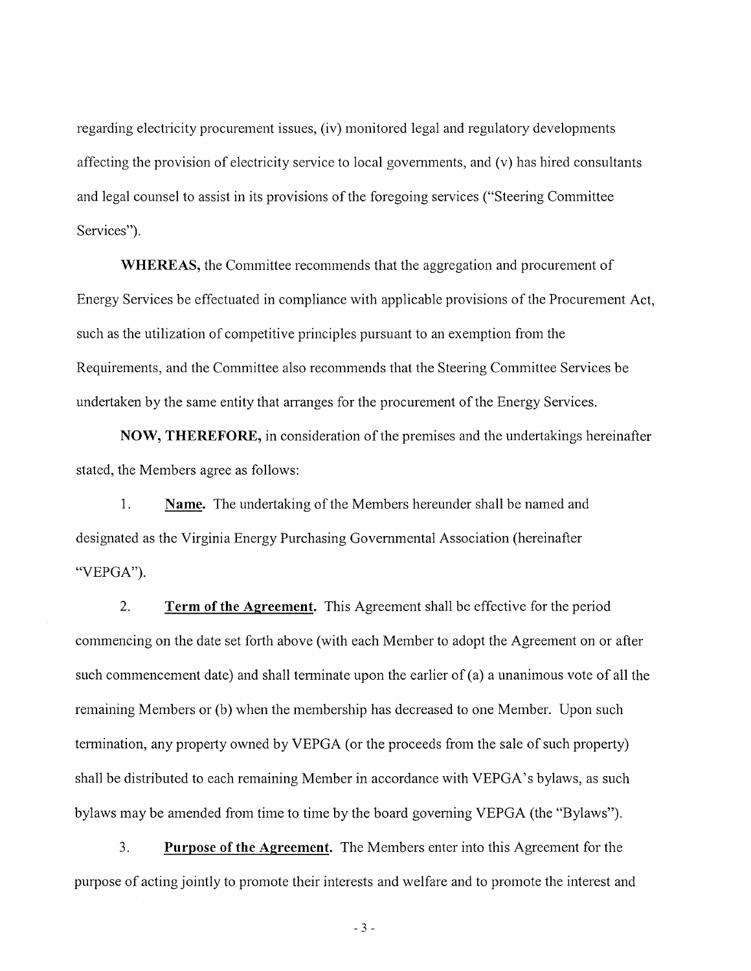regarding electricity procurement issues, (iv) monitored legal and regulatory developments affecting the provision of electricity service to local governments, and (v) has hired consultants and legal counsel to assist in its provisions of the foregoing services ("Steering Committee" Services").

**WHEREAS, the Committee recommends that the aggregation and procurement of** Energy Services be effectuated in compliance with applicable provisions of the Procurement Act, such as the utilization of competitive principles pursuant to an exemption from the Requirements, and the Committee also recommends that the Steering Committee Services be undertaken by the same entity that arranges for the procurement of the Energy Services.

**NOW, THEREFORE, in consideration of the premises and the undertakings hereinafter** stated, the Members agree as follows:

1. Name. The undertaking of the Members hereunder shall be named and designated as the Virginia Energy Purchasing Governmental Association (hereinafter "VEPGA").

 $\overline{2}$ . **Term of the Agreement.** This Agreement shall be effective for the period commencing on the date set forth above (with each Member to adopt the Agreement on or after such commencement date) and shall terminate upon the earlier of  $(a)$  a unanimous vote of all the remaining Members or (b) when the membership has decreased to one Member. Upon such termination, any property owned by VEPGA (or the proceeds from the sale of such property) shall be distributed to each remaining Member in accordance with VEPGA's bylaws, as such bylaws may be amended from time to time by the board governing VEPGA (the "Bylaws").

 $3.$ **Purpose of the Agreement.** The Members enter into this Agreement for the purpose of acting jointly to promote their interests and welfare and to promote the interest and

 $-3-$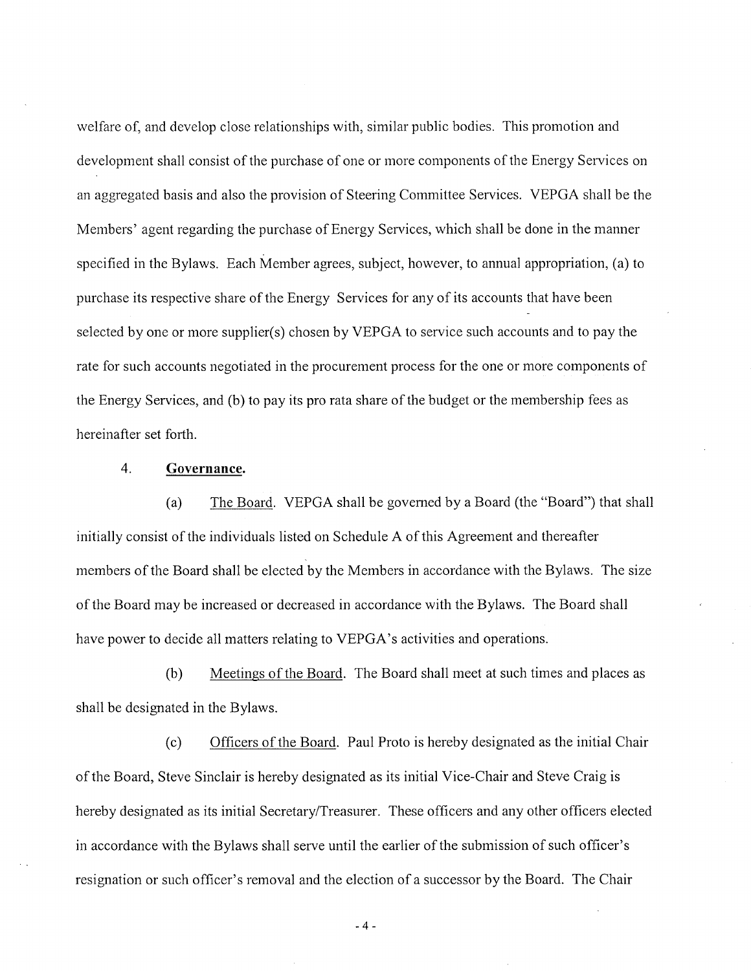welfare of, and develop close relationships with, similar public bodies. This promotion and development shall consist of the purchase of one or more components of the Energy Services on an aggregated basis and also the provision of Steering Committee Services. VEPGA shall be the Members' agent regarding the purchase of Energy Services, which shall be done in the manner specified in the Bylaws. Each Member agrees, subject, however, to annual appropriation, (a) to purchase its respective share of the Energy Services for any of its accounts that have been selected by one or more supplier(s) chosen by VEPGA to service such accounts and to pay the rate for such accounts negotiated in the procurement process for the one or more components of the Energy Services, and (b) to pay its pro rata share of the budget or the membership fees as hereinafter set forth.

#### $\overline{4}$ . Governance.

The Board. VEPGA shall be governed by a Board (the "Board") that shall  $(a)$ initially consist of the individuals listed on Schedule A of this Agreement and thereafter members of the Board shall be elected by the Members in accordance with the Bylaws. The size of the Board may be increased or decreased in accordance with the Bylaws. The Board shall have power to decide all matters relating to VEPGA's activities and operations.

Meetings of the Board. The Board shall meet at such times and places as  $(b)$ shall be designated in the Bylaws.

Officers of the Board. Paul Proto is hereby designated as the initial Chair  $(c)$ of the Board, Steve Sinclair is hereby designated as its initial Vice-Chair and Steve Craig is hereby designated as its initial Secretary/Treasurer. These officers and any other officers elected in accordance with the Bylaws shall serve until the earlier of the submission of such officer's resignation or such officer's removal and the election of a successor by the Board. The Chair

 $-4-$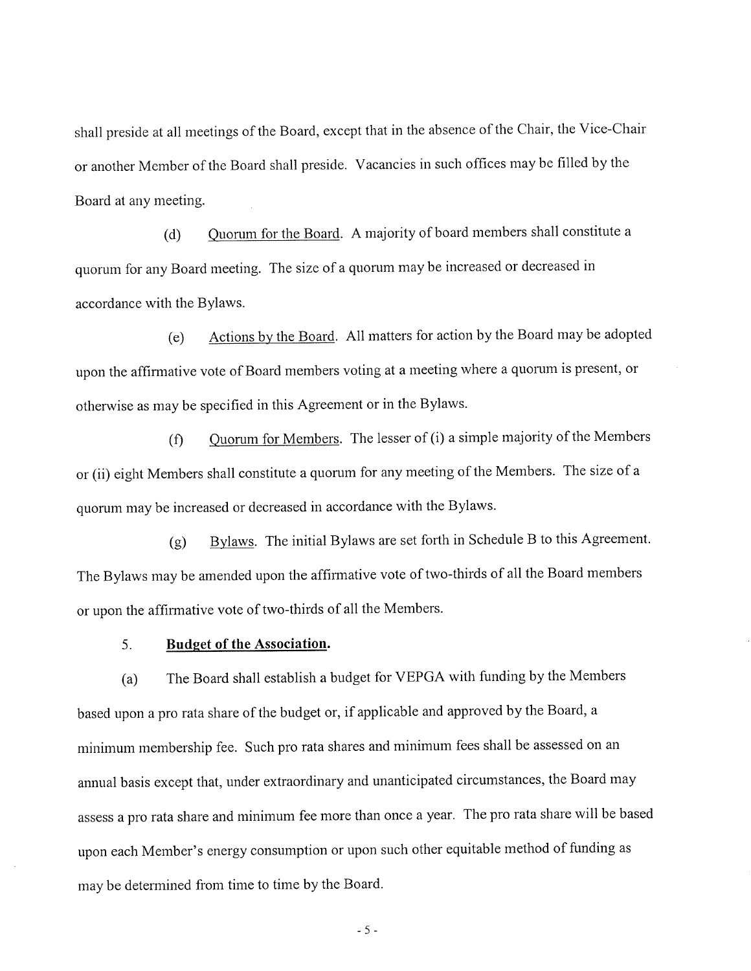shall preside at all meetings of the Board, except that in the absence of the Chair, the Vice-Chair or another Member of the Board shall preside. Vacancies in such offices may be filled by the Board at any meeting.

Quorum for the Board. A majority of board members shall constitute a  $(d)$ quorum for any Board meeting. The size of a quorum may be increased or decreased in accordance with the Bylaws.

Actions by the Board. All matters for action by the Board may be adopted  $(e)$ upon the affirmative vote of Board members voting at a meeting where a quorum is present, or otherwise as may be specified in this Agreement or in the Bylaws.

Quorum for Members. The lesser of (i) a simple majority of the Members  $(f)$ or (ii) eight Members shall constitute a quorum for any meeting of the Members. The size of a quorum may be increased or decreased in accordance with the Bylaws.

Bylaws. The initial Bylaws are set forth in Schedule B to this Agreement.  $(g)$ The Bylaws may be amended upon the affirmative vote of two-thirds of all the Board members or upon the affirmative vote of two-thirds of all the Members.

 $5<sub>1</sub>$ **Budget of the Association.** 

The Board shall establish a budget for VEPGA with funding by the Members  $(a)$ based upon a pro rata share of the budget or, if applicable and approved by the Board, a minimum membership fee. Such pro rata shares and minimum fees shall be assessed on an annual basis except that, under extraordinary and unanticipated circumstances, the Board may assess a pro rata share and minimum fee more than once a year. The pro rata share will be based upon each Member's energy consumption or upon such other equitable method of funding as may be determined from time to time by the Board.

 $-5-$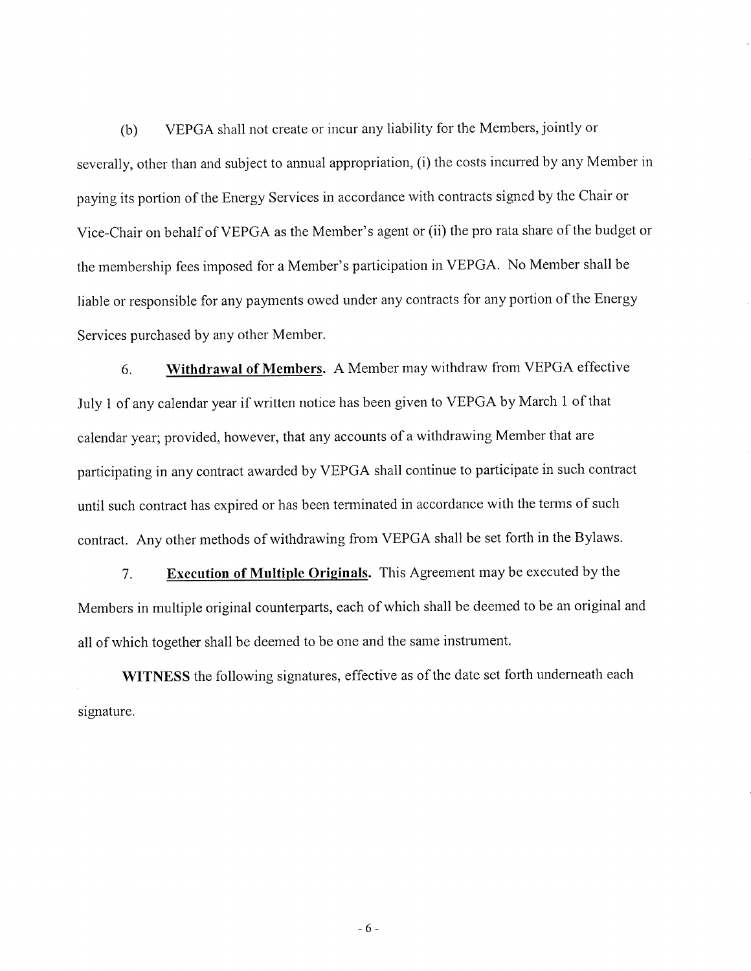VEPGA shall not create or incur any liability for the Members, jointly or  $(b)$ severally, other than and subject to annual appropriation, (i) the costs incurred by any Member in paying its portion of the Energy Services in accordance with contracts signed by the Chair or Vice-Chair on behalf of VEPGA as the Member's agent or (ii) the pro rata share of the budget or the membership fees imposed for a Member's participation in VEPGA. No Member shall be liable or responsible for any payments owed under any contracts for any portion of the Energy Services purchased by any other Member.

Withdrawal of Members. A Member may withdraw from VEPGA effective 6. July 1 of any calendar year if written notice has been given to VEPGA by March 1 of that calendar year; provided, however, that any accounts of a withdrawing Member that are participating in any contract awarded by VEPGA shall continue to participate in such contract until such contract has expired or has been terminated in accordance with the terms of such contract. Any other methods of withdrawing from VEPGA shall be set forth in the Bylaws.

**Execution of Multiple Originals.** This Agreement may be executed by the  $7.$ Members in multiple original counterparts, each of which shall be deemed to be an original and all of which together shall be deemed to be one and the same instrument.

WITNESS the following signatures, effective as of the date set forth underneath each signature.

 $-6-$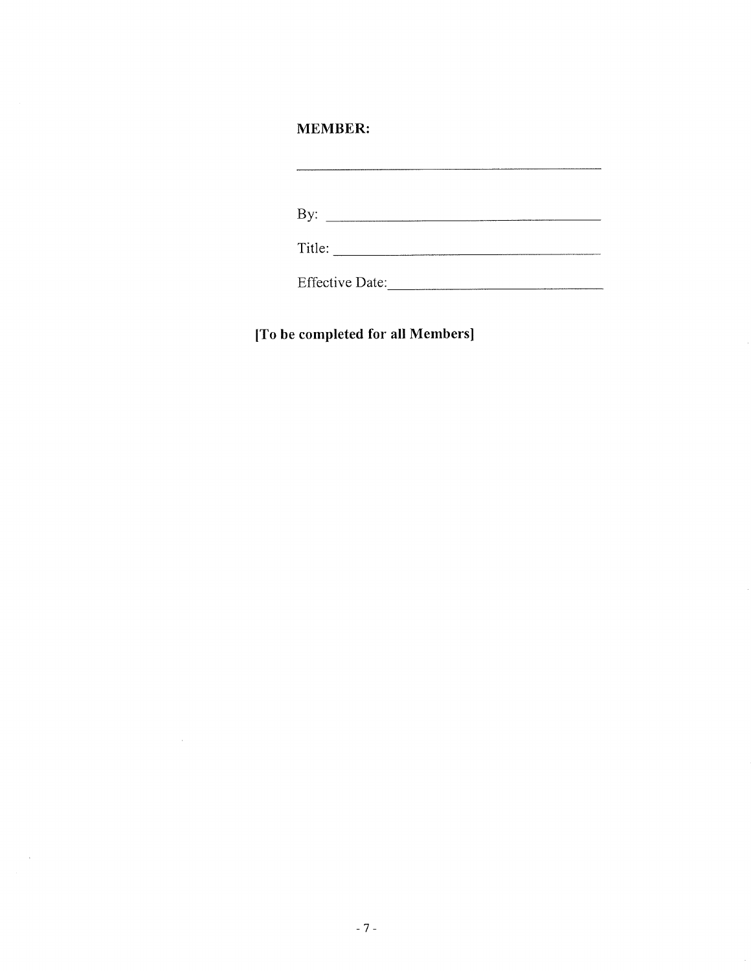### **MEMBER:**

Effective Date:

[To be completed for all Members]

 $\sim 10^{11}$ 

 $\mathcal{L}^{\text{max}}_{\text{max}}$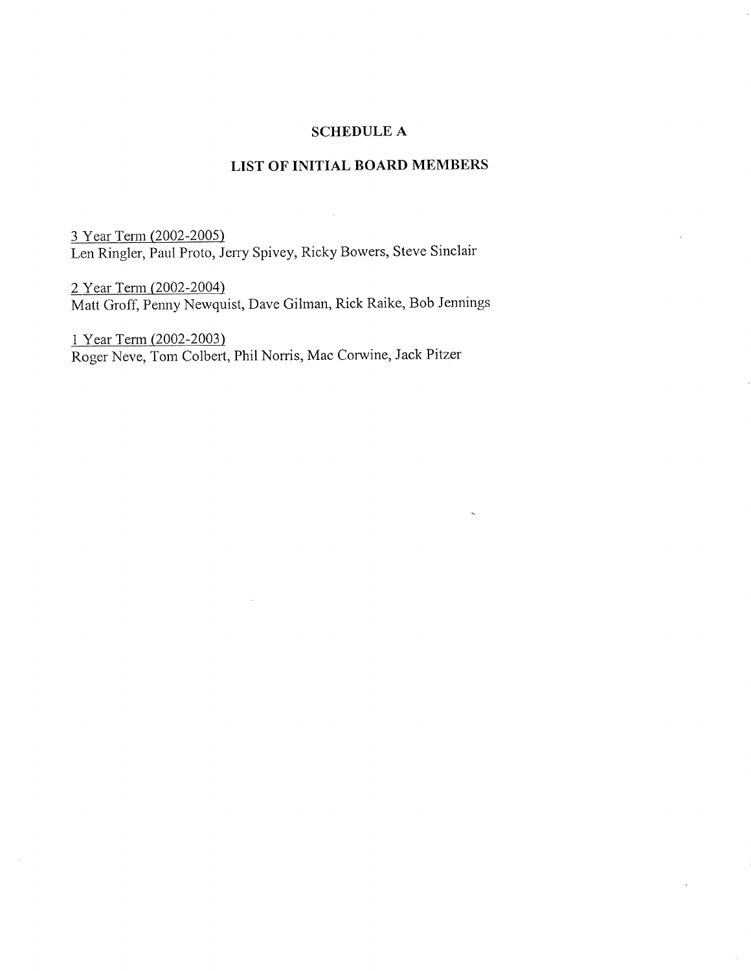### **SCHEDULE A**

### LIST OF INITIAL BOARD MEMBERS

3 Year Term (2002-2005) Len Ringler, Paul Proto, Jerry Spivey, Ricky Bowers, Steve Sinclair

2 Year Term (2002-2004) Matt Groff, Penny Newquist, Dave Gilman, Rick Raike, Bob Jennings

1 Year Term (2002-2003) Roger Neve, Tom Colbert, Phil Norris, Mac Corwine, Jack Pitzer